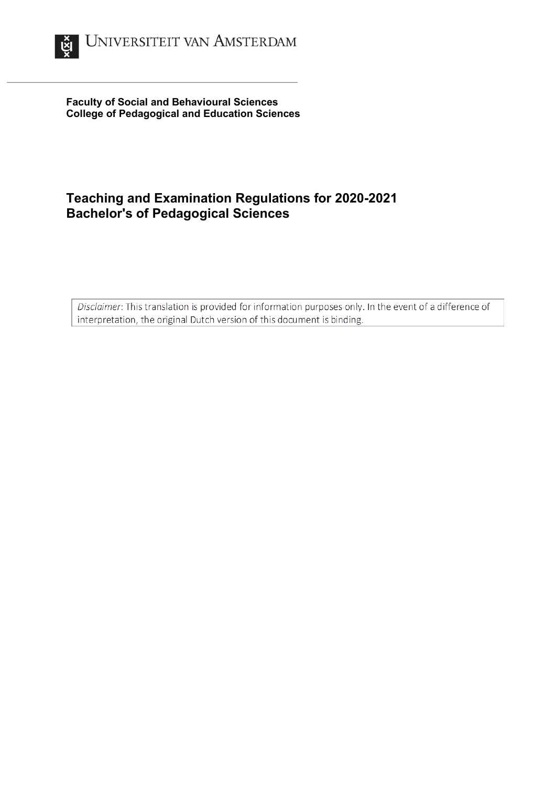

**Faculty of Social and Behavioural Sciences College of Pedagogical and Education Sciences**

## **Teaching and Examination Regulations for 2020-2021 Bachelor's of Pedagogical Sciences**

Disclaimer: This translation is provided for information purposes only. In the event of a difference of interpretation, the original Dutch version of this document is binding.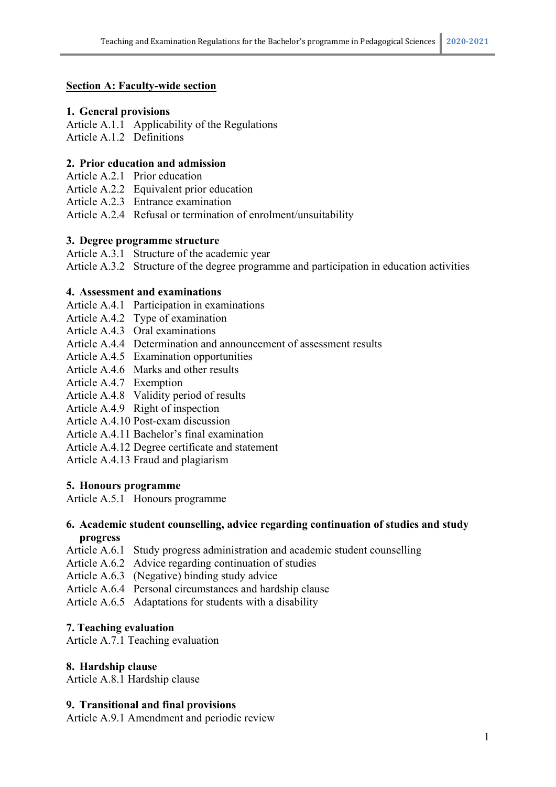## **Section A: Faculty-wide section**

## **1. General provisions**

Article A.1.1 Applicability of the Regulations Article A.1.2 Definitions

## **2. Prior education and admission**

Article A.2.1 Prior education

Article A.2.2 Equivalent prior education

Article A.2.3 Entrance examination

Article A.2.4 Refusal or termination of enrolment/unsuitability

## **3. Degree programme structure**

Article A.3.1 Structure of the academic year

Article A.3.2 Structure of the degree programme and participation in education activities

## **4. Assessment and examinations**

Article A.4.1 Participation in examinations

- Article A.4.2 Type of examination
- Article A.4.3 Oral examinations
- Article A.4.4 Determination and announcement of assessment results
- Article A.4.5 Examination opportunities
- Article A.4.6 Marks and other results
- Article A.4.7 Exemption
- Article A.4.8 Validity period of results
- Article A.4.9 Right of inspection
- Article A.4.10 Post-exam discussion
- Article A.4.11 Bachelor's final examination
- Article A.4.12 Degree certificate and statement

Article A.4.13 Fraud and plagiarism

## **5. Honours programme**

Article A.5.1 Honours programme

#### **6. Academic student counselling, advice regarding continuation of studies and study progress**

- Article A.6.1 Study progress administration and academic student counselling
- Article A.6.2 Advice regarding continuation of studies
- Article A.6.3 (Negative) binding study advice
- Article A.6.4 Personal circumstances and hardship clause

Article A.6.5 Adaptations for students with a disability

## **7. Teaching evaluation**

Article A.7.1 Teaching evaluation

## **8. Hardship clause**

Article A.8.1 Hardship clause

## **9. Transitional and final provisions**

Article A.9.1 Amendment and periodic review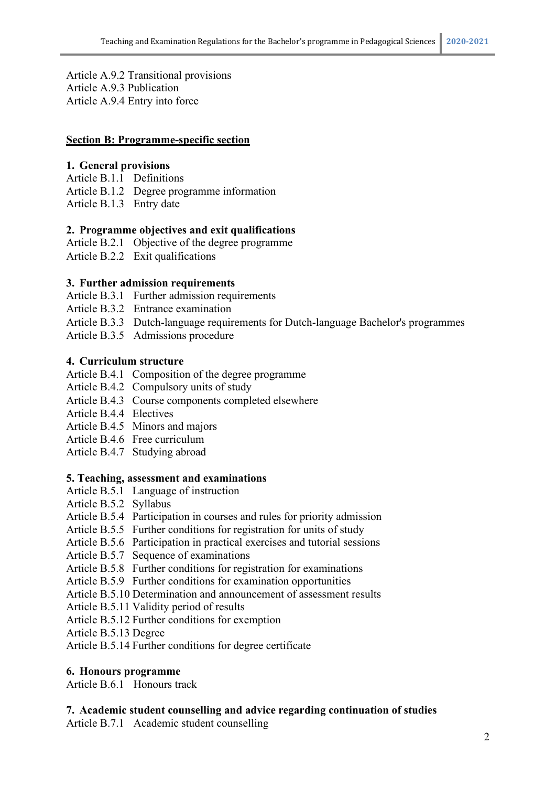Article A.9.2 Transitional provisions Article A.9.3 Publication Article A.9.4 Entry into force

#### **Section B: Programme-specific section**

#### **1. General provisions**

- Article B.1.1 Definitions
- Article B.1.2 Degree programme information
- Article B.1.3 Entry date

## **2. Programme objectives and exit qualifications**

- Article B.2.1 Objective of the degree programme
- Article B.2.2 Exit qualifications

#### **3. Further admission requirements**

- Article B.3.1 Further admission requirements
- Article B.3.2 Entrance examination
- Article B.3.3 Dutch-language requirements for Dutch-language Bachelor's programmes
- Article B.3.5 Admissions procedure

#### **4. Curriculum structure**

- Article B.4.1 Composition of the degree programme
- Article B.4.2 Compulsory units of study
- Article B.4.3 Course components completed elsewhere
- Article B.4.4 Electives
- Article B.4.5 Minors and majors
- Article B.4.6 Free curriculum
- Article B.4.7 Studying abroad

#### **5. Teaching, assessment and examinations**

- Article B.5.1 Language of instruction
- Article B.5.2 Syllabus
- Article B.5.4 Participation in courses and rules for priority admission
- Article B.5.5 Further conditions for registration for units of study
- Article B.5.6 Participation in practical exercises and tutorial sessions
- Article B.5.7 Sequence of examinations
- Article B.5.8 Further conditions for registration for examinations
- Article B.5.9 Further conditions for examination opportunities
- Article B.5.10 Determination and announcement of assessment results
- Article B.5.11 Validity period of results
- Article B.5.12 Further conditions for exemption
- Article B.5.13 Degree

Article B.5.14 Further conditions for degree certificate

## **6. Honours programme**

Article B.6.1 Honours track

## **7. Academic student counselling and advice regarding continuation of studies**

Article B.7.1 Academic student counselling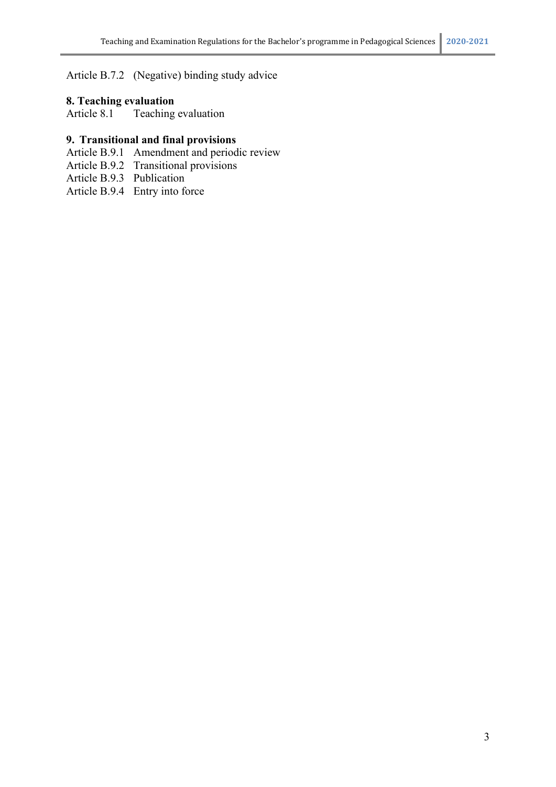Article B.7.2 (Negative) binding study advice

## **8. Teaching evaluation**

Article 8.1 Teaching evaluation

## **9. Transitional and final provisions**

- Article B.9.1 Amendment and periodic review
- Article B.9.2 Transitional provisions
- Article B.9.3 Publication
- Article B.9.4 Entry into force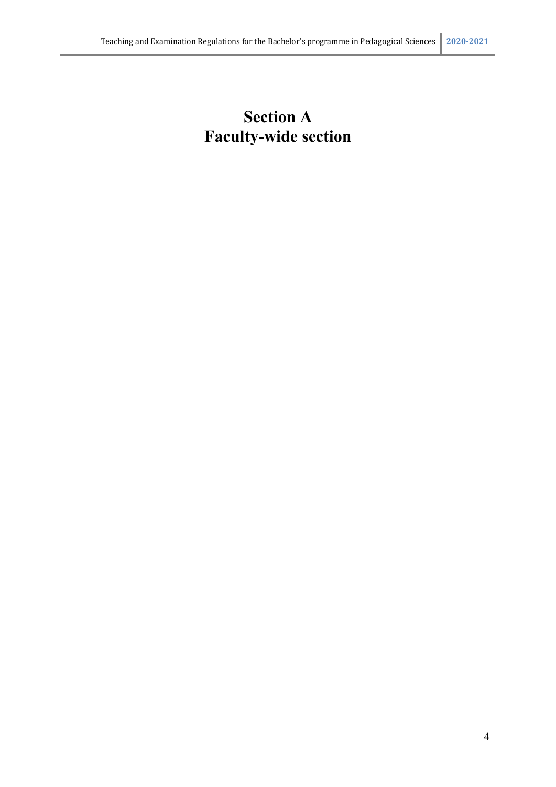# **Section A Faculty-wide section**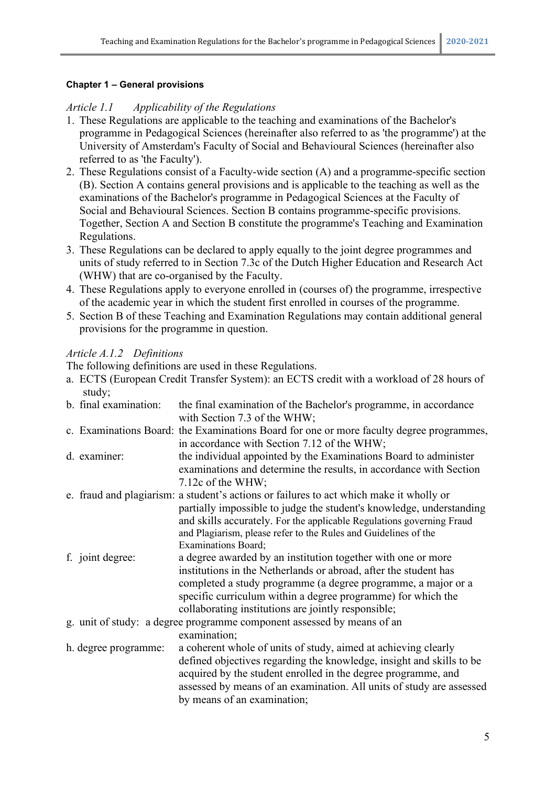## **Chapter 1 – General provisions**

## *Article 1.1 Applicability of the Regulations*

- 1. These Regulations are applicable to the teaching and examinations of the Bachelor's programme in Pedagogical Sciences (hereinafter also referred to as 'the programme') at the University of Amsterdam's Faculty of Social and Behavioural Sciences (hereinafter also referred to as 'the Faculty').
- 2. These Regulations consist of a Faculty-wide section (A) and a programme-specific section (B). Section A contains general provisions and is applicable to the teaching as well as the examinations of the Bachelor's programme in Pedagogical Sciences at the Faculty of Social and Behavioural Sciences. Section B contains programme-specific provisions. Together, Section A and Section B constitute the programme's Teaching and Examination Regulations.
- 3. These Regulations can be declared to apply equally to the joint degree programmes and units of study referred to in Section 7.3c of the Dutch Higher Education and Research Act (WHW) that are co-organised by the Faculty.
- 4. These Regulations apply to everyone enrolled in (courses of) the programme, irrespective of the academic year in which the student first enrolled in courses of the programme.
- 5. Section B of these Teaching and Examination Regulations may contain additional general provisions for the programme in question.

## *Article A.1.2 Definitions*

The following definitions are used in these Regulations.

a. ECTS (European Credit Transfer System): an ECTS credit with a workload of 28 hours of study;

| b. final examination: | the final examination of the Bachelor's programme, in accordance<br>with Section 7.3 of the WHW;                                                                                                                                                                                                                         |
|-----------------------|--------------------------------------------------------------------------------------------------------------------------------------------------------------------------------------------------------------------------------------------------------------------------------------------------------------------------|
|                       | c. Examinations Board: the Examinations Board for one or more faculty degree programmes,<br>in accordance with Section 7.12 of the WHW;                                                                                                                                                                                  |
| d. examiner:          | the individual appointed by the Examinations Board to administer<br>examinations and determine the results, in accordance with Section                                                                                                                                                                                   |
|                       | 7.12c of the WHW;<br>e. fraud and plagiarism: a student's actions or failures to act which make it wholly or<br>partially impossible to judge the student's knowledge, understanding<br>and skills accurately. For the applicable Regulations governing Fraud                                                            |
|                       | and Plagiarism, please refer to the Rules and Guidelines of the<br><b>Examinations Board;</b>                                                                                                                                                                                                                            |
| f. joint degree:      | a degree awarded by an institution together with one or more<br>institutions in the Netherlands or abroad, after the student has<br>completed a study programme (a degree programme, a major or a<br>specific curriculum within a degree programme) for which the<br>collaborating institutions are jointly responsible; |
|                       | g. unit of study: a degree programme component assessed by means of an<br>examination;                                                                                                                                                                                                                                   |
| h. degree programme:  | a coherent whole of units of study, aimed at achieving clearly<br>defined objectives regarding the knowledge, insight and skills to be<br>acquired by the student enrolled in the degree programme, and<br>assessed by means of an examination. All units of study are assessed<br>by means of an examination;           |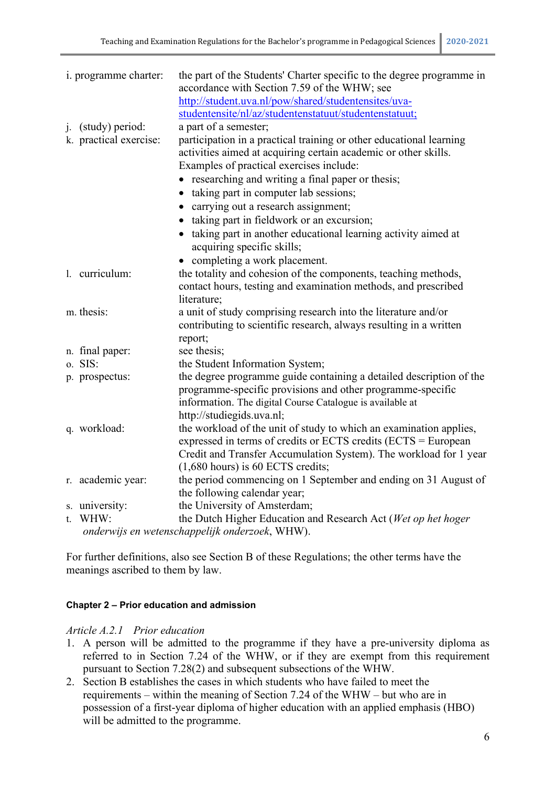| i. programme charter:                          | the part of the Students' Charter specific to the degree programme in<br>accordance with Section 7.59 of the WHW; see                                                                          |  |
|------------------------------------------------|------------------------------------------------------------------------------------------------------------------------------------------------------------------------------------------------|--|
|                                                | http://student.uva.nl/pow/shared/studentensites/uva-                                                                                                                                           |  |
|                                                | studentensite/nl/az/studentenstatuut/studentenstatuut;                                                                                                                                         |  |
| j. (study) period:                             | a part of a semester;                                                                                                                                                                          |  |
| k. practical exercise:                         | participation in a practical training or other educational learning<br>activities aimed at acquiring certain academic or other skills.<br>Examples of practical exercises include:             |  |
|                                                | • researching and writing a final paper or thesis;                                                                                                                                             |  |
|                                                | taking part in computer lab sessions;                                                                                                                                                          |  |
|                                                | carrying out a research assignment;                                                                                                                                                            |  |
|                                                | • taking part in fieldwork or an excursion;                                                                                                                                                    |  |
|                                                | taking part in another educational learning activity aimed at<br>$\bullet$<br>acquiring specific skills;                                                                                       |  |
|                                                | • completing a work placement.                                                                                                                                                                 |  |
| 1. curriculum:                                 | the totality and cohesion of the components, teaching methods,                                                                                                                                 |  |
|                                                | contact hours, testing and examination methods, and prescribed<br>literature;                                                                                                                  |  |
| m. thesis:                                     | a unit of study comprising research into the literature and/or                                                                                                                                 |  |
|                                                | contributing to scientific research, always resulting in a written                                                                                                                             |  |
|                                                | report;                                                                                                                                                                                        |  |
| n. final paper:                                | see thesis;                                                                                                                                                                                    |  |
| o. SIS:                                        | the Student Information System;                                                                                                                                                                |  |
| p. prospectus:                                 | the degree programme guide containing a detailed description of the<br>programme-specific provisions and other programme-specific<br>information. The digital Course Catalogue is available at |  |
|                                                | http://studiegids.uva.nl;                                                                                                                                                                      |  |
| q. workload:                                   | the workload of the unit of study to which an examination applies,                                                                                                                             |  |
|                                                | expressed in terms of credits or ECTS credits (ECTS = European                                                                                                                                 |  |
|                                                | Credit and Transfer Accumulation System). The workload for 1 year                                                                                                                              |  |
|                                                | $(1,680$ hours) is 60 ECTS credits;                                                                                                                                                            |  |
| r. academic year:                              | the period commencing on 1 September and ending on 31 August of                                                                                                                                |  |
|                                                | the following calendar year;                                                                                                                                                                   |  |
| s. university:                                 | the University of Amsterdam;                                                                                                                                                                   |  |
| t. WHW:                                        | the Dutch Higher Education and Research Act (Wet op het hoger                                                                                                                                  |  |
| onderwijs en wetenschappelijk onderzoek, WHW). |                                                                                                                                                                                                |  |

For further definitions, also see Section B of these Regulations; the other terms have the meanings ascribed to them by law.

#### **Chapter 2 – Prior education and admission**

#### *Article A.2.1 Prior education*

- 1. A person will be admitted to the programme if they have a pre-university diploma as referred to in Section 7.24 of the WHW, or if they are exempt from this requirement pursuant to Section 7.28(2) and subsequent subsections of the WHW.
- 2. Section B establishes the cases in which students who have failed to meet the requirements – within the meaning of Section 7.24 of the WHW – but who are in possession of a first-year diploma of higher education with an applied emphasis (HBO) will be admitted to the programme.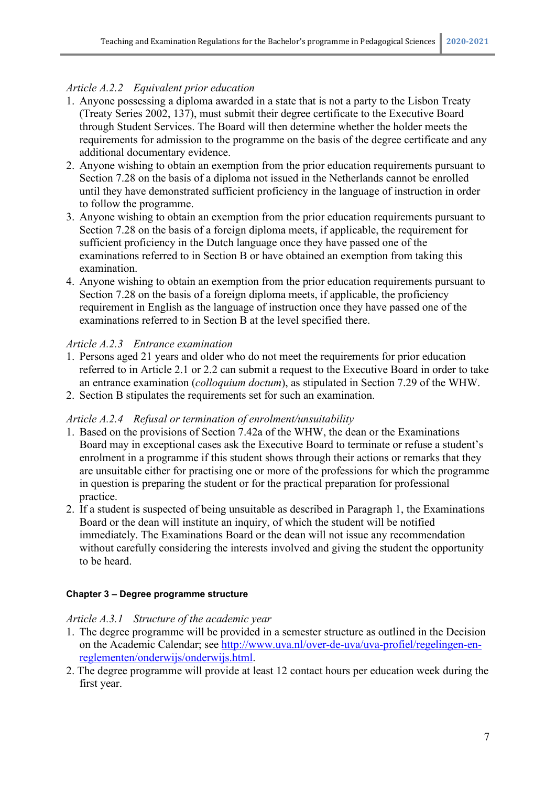## *Article A.2.2 Equivalent prior education*

- 1. Anyone possessing a diploma awarded in a state that is not a party to the Lisbon Treaty (Treaty Series 2002, 137), must submit their degree certificate to the Executive Board through Student Services. The Board will then determine whether the holder meets the requirements for admission to the programme on the basis of the degree certificate and any additional documentary evidence.
- 2. Anyone wishing to obtain an exemption from the prior education requirements pursuant to Section 7.28 on the basis of a diploma not issued in the Netherlands cannot be enrolled until they have demonstrated sufficient proficiency in the language of instruction in order to follow the programme.
- 3. Anyone wishing to obtain an exemption from the prior education requirements pursuant to Section 7.28 on the basis of a foreign diploma meets, if applicable, the requirement for sufficient proficiency in the Dutch language once they have passed one of the examinations referred to in Section B or have obtained an exemption from taking this examination.
- 4. Anyone wishing to obtain an exemption from the prior education requirements pursuant to Section 7.28 on the basis of a foreign diploma meets, if applicable, the proficiency requirement in English as the language of instruction once they have passed one of the examinations referred to in Section B at the level specified there.

## *Article A.2.3 Entrance examination*

- 1. Persons aged 21 years and older who do not meet the requirements for prior education referred to in Article 2.1 or 2.2 can submit a request to the Executive Board in order to take an entrance examination (*colloquium doctum*), as stipulated in Section 7.29 of the WHW.
- 2. Section B stipulates the requirements set for such an examination.

## *Article A.2.4 Refusal or termination of enrolment/unsuitability*

- 1. Based on the provisions of Section 7.42a of the WHW, the dean or the Examinations Board may in exceptional cases ask the Executive Board to terminate or refuse a student's enrolment in a programme if this student shows through their actions or remarks that they are unsuitable either for practising one or more of the professions for which the programme in question is preparing the student or for the practical preparation for professional practice.
- 2. If a student is suspected of being unsuitable as described in Paragraph 1, the Examinations Board or the dean will institute an inquiry, of which the student will be notified immediately. The Examinations Board or the dean will not issue any recommendation without carefully considering the interests involved and giving the student the opportunity to be heard.

## **Chapter 3 – Degree programme structure**

## *Article A.3.1 Structure of the academic year*

- 1. The degree programme will be provided in a semester structure as outlined in the Decision on the Academic Calendar; see [http://www.uva.nl/over-de-uva/uva-profiel/regelingen-en](http://www.uva.nl/over-de-uva/uva-profiel/regelingen-en-reglementen/onderwijs/onderwijs.html)[reglementen/onderwijs/onderwijs.html.](http://www.uva.nl/over-de-uva/uva-profiel/regelingen-en-reglementen/onderwijs/onderwijs.html)
- 2. The degree programme will provide at least 12 contact hours per education week during the first year.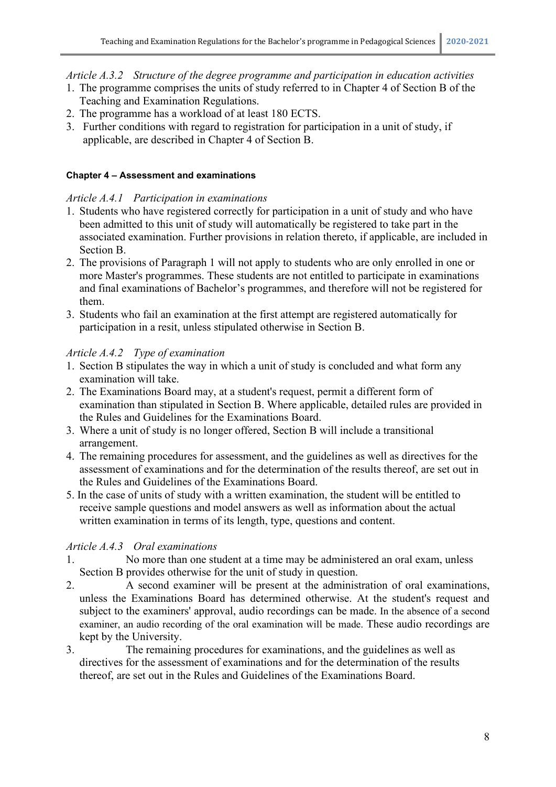## *Article A.3.2 Structure of the degree programme and participation in education activities*

- 1. The programme comprises the units of study referred to in Chapter 4 of Section B of the Teaching and Examination Regulations.
- 2. The programme has a workload of at least 180 ECTS.
- 3. Further conditions with regard to registration for participation in a unit of study, if applicable, are described in Chapter 4 of Section B.

## **Chapter 4 – Assessment and examinations**

## *Article A.4.1 Participation in examinations*

- 1. Students who have registered correctly for participation in a unit of study and who have been admitted to this unit of study will automatically be registered to take part in the associated examination. Further provisions in relation thereto, if applicable, are included in Section B.
- 2. The provisions of Paragraph 1 will not apply to students who are only enrolled in one or more Master's programmes. These students are not entitled to participate in examinations and final examinations of Bachelor's programmes, and therefore will not be registered for them.
- 3. Students who fail an examination at the first attempt are registered automatically for participation in a resit, unless stipulated otherwise in Section B.

## *Article A.4.2 Type of examination*

- 1. Section B stipulates the way in which a unit of study is concluded and what form any examination will take.
- 2. The Examinations Board may, at a student's request, permit a different form of examination than stipulated in Section B. Where applicable, detailed rules are provided in the Rules and Guidelines for the Examinations Board.
- 3. Where a unit of study is no longer offered, Section B will include a transitional arrangement.
- 4. The remaining procedures for assessment, and the guidelines as well as directives for the assessment of examinations and for the determination of the results thereof, are set out in the Rules and Guidelines of the Examinations Board.
- 5. In the case of units of study with a written examination, the student will be entitled to receive sample questions and model answers as well as information about the actual written examination in terms of its length, type, questions and content.

## *Article A.4.3 Oral examinations*

- 1. No more than one student at a time may be administered an oral exam, unless Section B provides otherwise for the unit of study in question.
- 2. A second examiner will be present at the administration of oral examinations, unless the Examinations Board has determined otherwise. At the student's request and subject to the examiners' approval, audio recordings can be made. In the absence of a second examiner, an audio recording of the oral examination will be made. These audio recordings are kept by the University.
- 3. The remaining procedures for examinations, and the guidelines as well as directives for the assessment of examinations and for the determination of the results thereof, are set out in the Rules and Guidelines of the Examinations Board.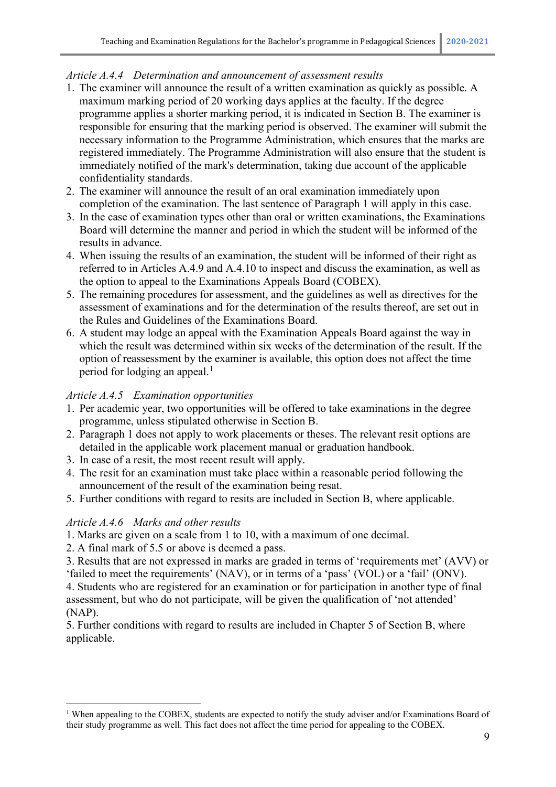## *Article A.4.4 Determination and announcement of assessment results*

- 1. The examiner will announce the result of a written examination as quickly as possible. A maximum marking period of 20 working days applies at the faculty. If the degree programme applies a shorter marking period, it is indicated in Section B. The examiner is responsible for ensuring that the marking period is observed. The examiner will submit the necessary information to the Programme Administration, which ensures that the marks are registered immediately. The Programme Administration will also ensure that the student is immediately notified of the mark's determination, taking due account of the applicable confidentiality standards.
- 2. The examiner will announce the result of an oral examination immediately upon completion of the examination. The last sentence of Paragraph 1 will apply in this case.
- 3. In the case of examination types other than oral or written examinations, the Examinations Board will determine the manner and period in which the student will be informed of the results in advance.
- 4. When issuing the results of an examination, the student will be informed of their right as referred to in Articles A.4.9 and A.4.10 to inspect and discuss the examination, as well as the option to appeal to the Examinations Appeals Board (COBEX).
- 5. The remaining procedures for assessment, and the guidelines as well as directives for the assessment of examinations and for the determination of the results thereof, are set out in the Rules and Guidelines of the Examinations Board.
- 6. A student may lodge an appeal with the Examination Appeals Board against the way in which the result was determined within six weeks of the determination of the result. If the option of reassessment by the examiner is available, this option does not affect the time period for lodging an appeal.<sup>[1](#page-9-0)</sup>

## *Article A.4.5 Examination opportunities*

- 1. Per academic year, two opportunities will be offered to take examinations in the degree programme, unless stipulated otherwise in Section B.
- 2. Paragraph 1 does not apply to work placements or theses. The relevant resit options are detailed in the applicable work placement manual or graduation handbook.
- 3. In case of a resit, the most recent result will apply.
- 4. The resit for an examination must take place within a reasonable period following the announcement of the result of the examination being resat.
- 5. Further conditions with regard to resits are included in Section B, where applicable.

## *Article A.4.6 Marks and other results*

- 1. Marks are given on a scale from 1 to 10, with a maximum of one decimal.
- 2. A final mark of 5.5 or above is deemed a pass.
- 3. Results that are not expressed in marks are graded in terms of 'requirements met' (AVV) or 'failed to meet the requirements' (NAV), or in terms of a 'pass' (VOL) or a 'fail' (ONV).

4. Students who are registered for an examination or for participation in another type of final assessment, but who do not participate, will be given the qualification of 'not attended' (NAP).

5. Further conditions with regard to results are included in Chapter 5 of Section B, where applicable.

<span id="page-9-0"></span><sup>1</sup> When appealing to the COBEX, students are expected to notify the study adviser and/or Examinations Board of their study programme as well. This fact does not affect the time period for appealing to the COBEX.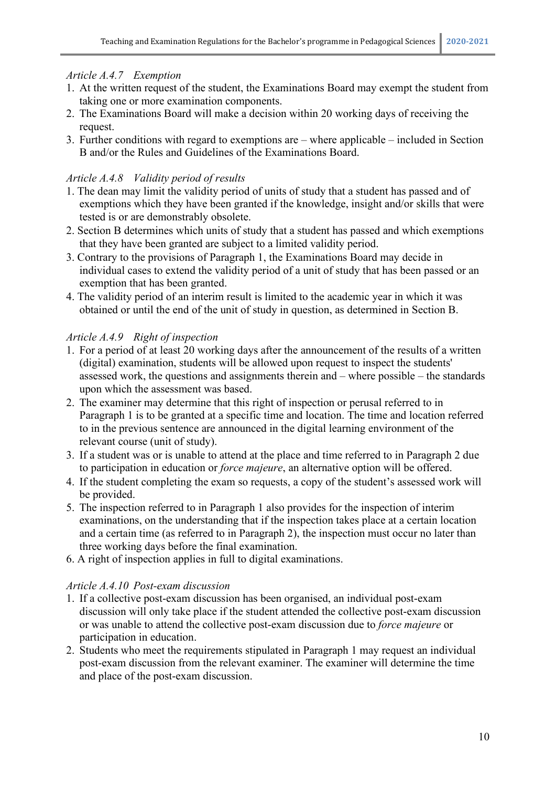## *Article A.4.7 Exemption*

- 1. At the written request of the student, the Examinations Board may exempt the student from taking one or more examination components.
- 2. The Examinations Board will make a decision within 20 working days of receiving the request.
- 3. Further conditions with regard to exemptions are where applicable included in Section B and/or the Rules and Guidelines of the Examinations Board.

## *Article A.4.8 Validity period of results*

- 1. The dean may limit the validity period of units of study that a student has passed and of exemptions which they have been granted if the knowledge, insight and/or skills that were tested is or are demonstrably obsolete.
- 2. Section B determines which units of study that a student has passed and which exemptions that they have been granted are subject to a limited validity period.
- 3. Contrary to the provisions of Paragraph 1, the Examinations Board may decide in individual cases to extend the validity period of a unit of study that has been passed or an exemption that has been granted.
- 4. The validity period of an interim result is limited to the academic year in which it was obtained or until the end of the unit of study in question, as determined in Section B.

## *Article A.4.9 Right of inspection*

- 1. For a period of at least 20 working days after the announcement of the results of a written (digital) examination, students will be allowed upon request to inspect the students' assessed work, the questions and assignments therein and – where possible – the standards upon which the assessment was based.
- 2. The examiner may determine that this right of inspection or perusal referred to in Paragraph 1 is to be granted at a specific time and location. The time and location referred to in the previous sentence are announced in the digital learning environment of the relevant course (unit of study).
- 3. If a student was or is unable to attend at the place and time referred to in Paragraph 2 due to participation in education or *force majeure*, an alternative option will be offered.
- 4. If the student completing the exam so requests, a copy of the student's assessed work will be provided.
- 5. The inspection referred to in Paragraph 1 also provides for the inspection of interim examinations, on the understanding that if the inspection takes place at a certain location and a certain time (as referred to in Paragraph 2), the inspection must occur no later than three working days before the final examination.
- 6. A right of inspection applies in full to digital examinations.

## *Article A.4.10 Post-exam discussion*

- 1. If a collective post-exam discussion has been organised, an individual post-exam discussion will only take place if the student attended the collective post-exam discussion or was unable to attend the collective post-exam discussion due to *force majeure* or participation in education.
- 2. Students who meet the requirements stipulated in Paragraph 1 may request an individual post-exam discussion from the relevant examiner. The examiner will determine the time and place of the post-exam discussion.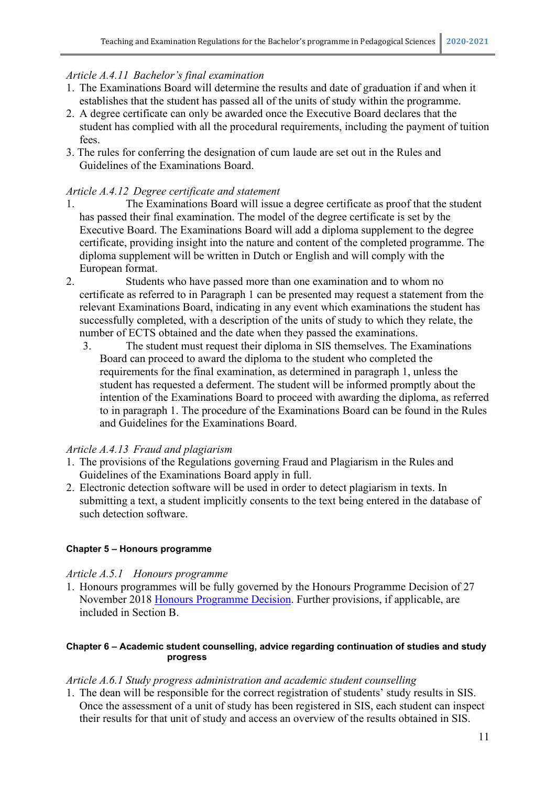## *Article A.4.11 Bachelor's final examination*

- 1. The Examinations Board will determine the results and date of graduation if and when it establishes that the student has passed all of the units of study within the programme.
- 2. A degree certificate can only be awarded once the Executive Board declares that the student has complied with all the procedural requirements, including the payment of tuition fees.
- 3. The rules for conferring the designation of cum laude are set out in the Rules and Guidelines of the Examinations Board.

## *Article A.4.12 Degree certificate and statement*

- 1. The Examinations Board will issue a degree certificate as proof that the student has passed their final examination. The model of the degree certificate is set by the Executive Board. The Examinations Board will add a diploma supplement to the degree certificate, providing insight into the nature and content of the completed programme. The diploma supplement will be written in Dutch or English and will comply with the European format.
- 2. Students who have passed more than one examination and to whom no certificate as referred to in Paragraph 1 can be presented may request a statement from the relevant Examinations Board, indicating in any event which examinations the student has successfully completed, with a description of the units of study to which they relate, the number of ECTS obtained and the date when they passed the examinations.
	- 3. The student must request their diploma in SIS themselves. The Examinations Board can proceed to award the diploma to the student who completed the requirements for the final examination, as determined in paragraph 1, unless the student has requested a deferment. The student will be informed promptly about the intention of the Examinations Board to proceed with awarding the diploma, as referred to in paragraph 1. The procedure of the Examinations Board can be found in the Rules and Guidelines for the Examinations Board.

## *Article A.4.13 Fraud and plagiarism*

- 1. The provisions of the Regulations governing Fraud and Plagiarism in the Rules and Guidelines of the Examinations Board apply in full.
- 2. Electronic detection software will be used in order to detect plagiarism in texts. In submitting a text, a student implicitly consents to the text being entered in the database of such detection software.

## **Chapter 5 – Honours programme**

## *Article A.5.1 Honours programme*

1. Honours programmes will be fully governed by the Honours Programme Decision of 27 November 2018 [Honours Programme Decision.](http://www.uva.nl/over-de-uva/uva-profiel/regelingen-en-reglementen/onderwijs/onderwijs.html) Further provisions, if applicable, are included in Section B.

#### **Chapter 6 – Academic student counselling, advice regarding continuation of studies and study progress**

## *Article A.6.1 Study progress administration and academic student counselling*

1. The dean will be responsible for the correct registration of students' study results in SIS. Once the assessment of a unit of study has been registered in SIS, each student can inspect their results for that unit of study and access an overview of the results obtained in SIS.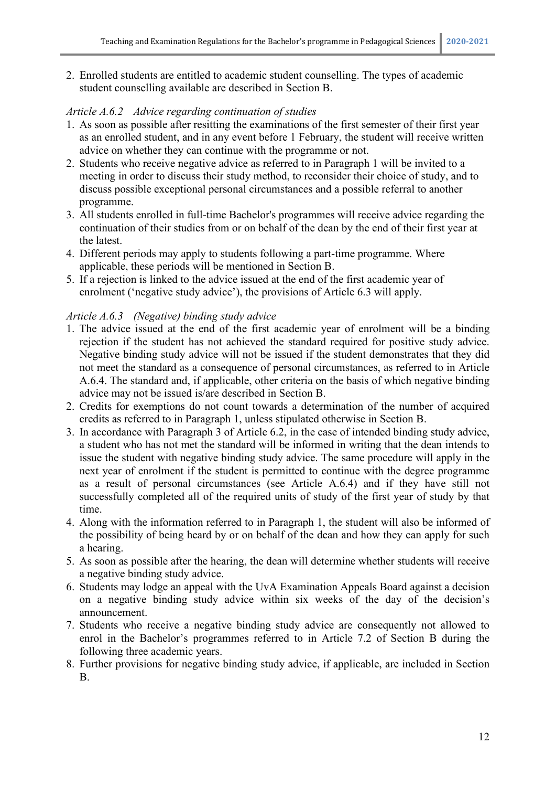2. Enrolled students are entitled to academic student counselling. The types of academic student counselling available are described in Section B.

## *Article A.6.2 Advice regarding continuation of studies*

- 1. As soon as possible after resitting the examinations of the first semester of their first year as an enrolled student, and in any event before 1 February, the student will receive written advice on whether they can continue with the programme or not.
- 2. Students who receive negative advice as referred to in Paragraph 1 will be invited to a meeting in order to discuss their study method, to reconsider their choice of study, and to discuss possible exceptional personal circumstances and a possible referral to another programme.
- 3. All students enrolled in full-time Bachelor's programmes will receive advice regarding the continuation of their studies from or on behalf of the dean by the end of their first year at the latest.
- 4. Different periods may apply to students following a part-time programme. Where applicable, these periods will be mentioned in Section B.
- 5. If a rejection is linked to the advice issued at the end of the first academic year of enrolment ('negative study advice'), the provisions of Article 6.3 will apply.

## *Article A.6.3 (Negative) binding study advice*

- 1. The advice issued at the end of the first academic year of enrolment will be a binding rejection if the student has not achieved the standard required for positive study advice. Negative binding study advice will not be issued if the student demonstrates that they did not meet the standard as a consequence of personal circumstances, as referred to in Article A.6.4. The standard and, if applicable, other criteria on the basis of which negative binding advice may not be issued is/are described in Section B.
- 2. Credits for exemptions do not count towards a determination of the number of acquired credits as referred to in Paragraph 1, unless stipulated otherwise in Section B.
- 3. In accordance with Paragraph 3 of Article 6.2, in the case of intended binding study advice, a student who has not met the standard will be informed in writing that the dean intends to issue the student with negative binding study advice. The same procedure will apply in the next year of enrolment if the student is permitted to continue with the degree programme as a result of personal circumstances (see Article A.6.4) and if they have still not successfully completed all of the required units of study of the first year of study by that time.
- 4. Along with the information referred to in Paragraph 1, the student will also be informed of the possibility of being heard by or on behalf of the dean and how they can apply for such a hearing.
- 5. As soon as possible after the hearing, the dean will determine whether students will receive a negative binding study advice.
- 6. Students may lodge an appeal with the UvA Examination Appeals Board against a decision on a negative binding study advice within six weeks of the day of the decision's announcement.
- 7. Students who receive a negative binding study advice are consequently not allowed to enrol in the Bachelor's programmes referred to in Article 7.2 of Section B during the following three academic years.
- 8. Further provisions for negative binding study advice, if applicable, are included in Section B.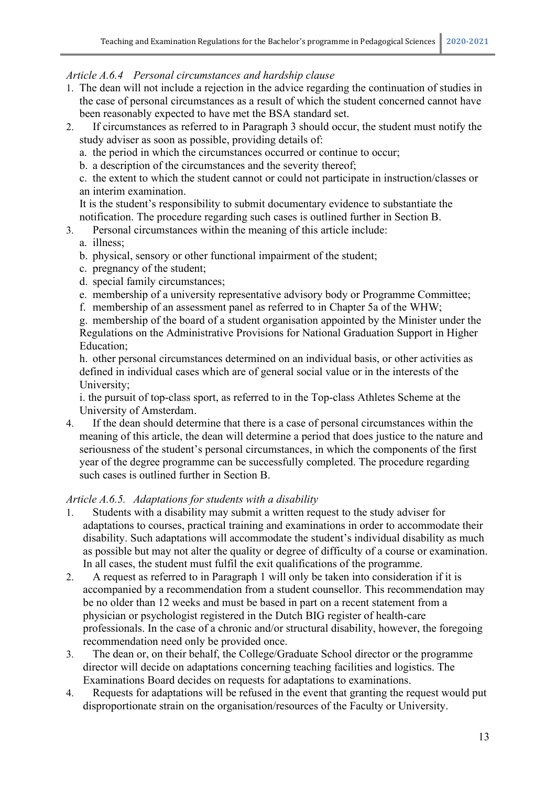### *Article A.6.4 Personal circumstances and hardship clause*

- 1. The dean will not include a rejection in the advice regarding the continuation of studies in the case of personal circumstances as a result of which the student concerned cannot have been reasonably expected to have met the BSA standard set.
- 2. If circumstances as referred to in Paragraph 3 should occur, the student must notify the study adviser as soon as possible, providing details of:
	- a. the period in which the circumstances occurred or continue to occur;
	- b. a description of the circumstances and the severity thereof;
	- c. the extent to which the student cannot or could not participate in instruction/classes or an interim examination.

It is the student's responsibility to submit documentary evidence to substantiate the notification. The procedure regarding such cases is outlined further in Section B.

- 3. Personal circumstances within the meaning of this article include:
	- a. illness;
	- b. physical, sensory or other functional impairment of the student;
	- c. pregnancy of the student;
	- d. special family circumstances;
	- e. membership of a university representative advisory body or Programme Committee;
	- f. membership of an assessment panel as referred to in Chapter 5a of the WHW;

g. membership of the board of a student organisation appointed by the Minister under the Regulations on the Administrative Provisions for National Graduation Support in Higher Education;

h. other personal circumstances determined on an individual basis, or other activities as defined in individual cases which are of general social value or in the interests of the University;

i. the pursuit of top-class sport, as referred to in the Top-class Athletes Scheme at the University of Amsterdam.

4. If the dean should determine that there is a case of personal circumstances within the meaning of this article, the dean will determine a period that does justice to the nature and seriousness of the student's personal circumstances, in which the components of the first year of the degree programme can be successfully completed. The procedure regarding such cases is outlined further in Section B.

#### *Article A.6.5. Adaptations for students with a disability*

- 1. Students with a disability may submit a written request to the study adviser for adaptations to courses, practical training and examinations in order to accommodate their disability. Such adaptations will accommodate the student's individual disability as much as possible but may not alter the quality or degree of difficulty of a course or examination. In all cases, the student must fulfil the exit qualifications of the programme.
- 2. A request as referred to in Paragraph 1 will only be taken into consideration if it is accompanied by a recommendation from a student counsellor. This recommendation may be no older than 12 weeks and must be based in part on a recent statement from a physician or psychologist registered in the Dutch BIG register of health-care professionals. In the case of a chronic and/or structural disability, however, the foregoing recommendation need only be provided once.
- 3. The dean or, on their behalf, the College/Graduate School director or the programme director will decide on adaptations concerning teaching facilities and logistics. The Examinations Board decides on requests for adaptations to examinations.
- 4. Requests for adaptations will be refused in the event that granting the request would put disproportionate strain on the organisation/resources of the Faculty or University.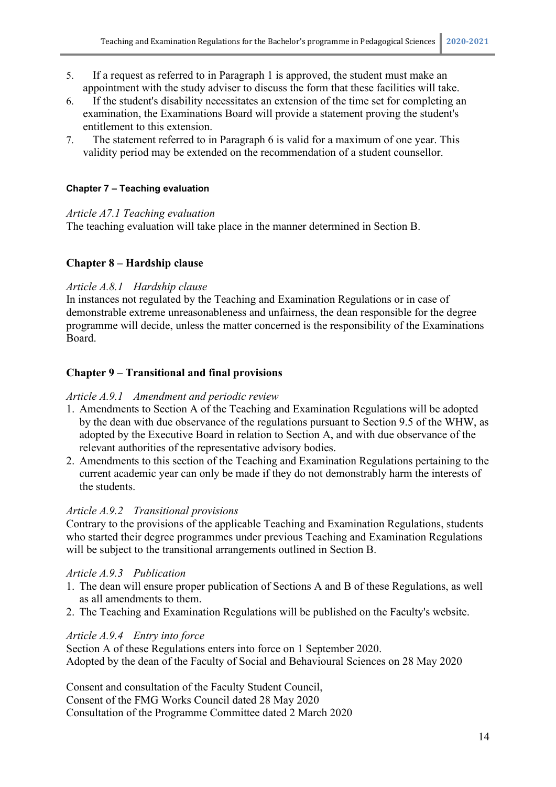- 5. If a request as referred to in Paragraph 1 is approved, the student must make an appointment with the study adviser to discuss the form that these facilities will take.
- 6. If the student's disability necessitates an extension of the time set for completing an examination, the Examinations Board will provide a statement proving the student's entitlement to this extension.
- 7. The statement referred to in Paragraph 6 is valid for a maximum of one year. This validity period may be extended on the recommendation of a student counsellor.

## **Chapter 7 – Teaching evaluation**

#### *Article A7.1 Teaching evaluation*

The teaching evaluation will take place in the manner determined in Section B.

## **Chapter 8 – Hardship clause**

#### *Article A.8.1 Hardship clause*

In instances not regulated by the Teaching and Examination Regulations or in case of demonstrable extreme unreasonableness and unfairness, the dean responsible for the degree programme will decide, unless the matter concerned is the responsibility of the Examinations Board.

#### **Chapter 9 – Transitional and final provisions**

#### *Article A.9.1 Amendment and periodic review*

- 1. Amendments to Section A of the Teaching and Examination Regulations will be adopted by the dean with due observance of the regulations pursuant to Section 9.5 of the WHW, as adopted by the Executive Board in relation to Section A, and with due observance of the relevant authorities of the representative advisory bodies.
- 2. Amendments to this section of the Teaching and Examination Regulations pertaining to the current academic year can only be made if they do not demonstrably harm the interests of the students.

## *Article A.9.2 Transitional provisions*

Contrary to the provisions of the applicable Teaching and Examination Regulations, students who started their degree programmes under previous Teaching and Examination Regulations will be subject to the transitional arrangements outlined in Section B.

#### *Article A.9.3 Publication*

- 1. The dean will ensure proper publication of Sections A and B of these Regulations, as well as all amendments to them.
- 2. The Teaching and Examination Regulations will be published on the Faculty's website.

## *Article A.9.4 Entry into force*

Section A of these Regulations enters into force on 1 September 2020. Adopted by the dean of the Faculty of Social and Behavioural Sciences on 28 May 2020

Consent and consultation of the Faculty Student Council, Consent of the FMG Works Council dated 28 May 2020 Consultation of the Programme Committee dated 2 March 2020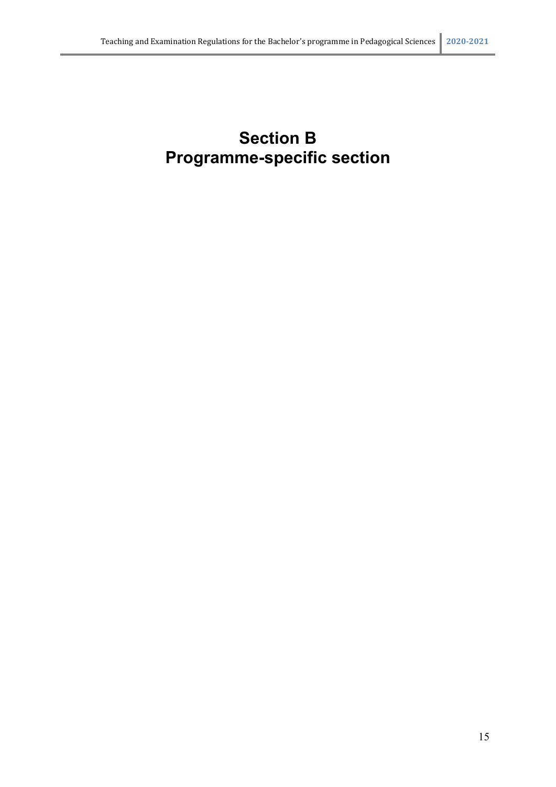# **Section B Programme-specific section**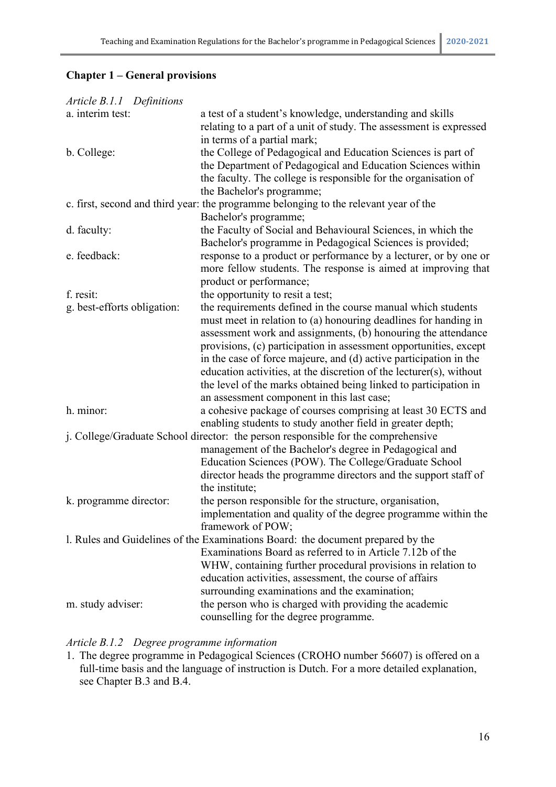## **Chapter 1 – General provisions**

| Article B.1.1 Definitions   |                                                                                      |
|-----------------------------|--------------------------------------------------------------------------------------|
| a. interim test:            | a test of a student's knowledge, understanding and skills                            |
|                             | relating to a part of a unit of study. The assessment is expressed                   |
|                             | in terms of a partial mark;                                                          |
| b. College:                 | the College of Pedagogical and Education Sciences is part of                         |
|                             | the Department of Pedagogical and Education Sciences within                          |
|                             | the faculty. The college is responsible for the organisation of                      |
|                             | the Bachelor's programme;                                                            |
|                             | c. first, second and third year: the programme belonging to the relevant year of the |
|                             | Bachelor's programme;                                                                |
| d. faculty:                 | the Faculty of Social and Behavioural Sciences, in which the                         |
|                             | Bachelor's programme in Pedagogical Sciences is provided;                            |
| e. feedback:                | response to a product or performance by a lecturer, or by one or                     |
|                             | more fellow students. The response is aimed at improving that                        |
|                             | product or performance;                                                              |
| f. resit:                   | the opportunity to resit a test;                                                     |
| g. best-efforts obligation: | the requirements defined in the course manual which students                         |
|                             | must meet in relation to (a) honouring deadlines for handing in                      |
|                             | assessment work and assignments, (b) honouring the attendance                        |
|                             | provisions, (c) participation in assessment opportunities, except                    |
|                             | in the case of force majeure, and (d) active participation in the                    |
|                             | education activities, at the discretion of the lecturer(s), without                  |
|                             | the level of the marks obtained being linked to participation in                     |
|                             | an assessment component in this last case;                                           |
| h. minor:                   | a cohesive package of courses comprising at least 30 ECTS and                        |
|                             | enabling students to study another field in greater depth;                           |
|                             | j. College/Graduate School director: the person responsible for the comprehensive    |
|                             | management of the Bachelor's degree in Pedagogical and                               |
|                             | Education Sciences (POW). The College/Graduate School                                |
|                             | director heads the programme directors and the support staff of                      |
|                             | the institute;                                                                       |
| k. programme director:      | the person responsible for the structure, organisation,                              |
|                             | implementation and quality of the degree programme within the                        |
|                             | framework of POW;                                                                    |
|                             | 1. Rules and Guidelines of the Examinations Board: the document prepared by the      |
|                             | Examinations Board as referred to in Article 7.12b of the                            |
|                             | WHW, containing further procedural provisions in relation to                         |
|                             | education activities, assessment, the course of affairs                              |
|                             | surrounding examinations and the examination;                                        |
|                             | the person who is charged with providing the academic                                |
| m. study adviser:           |                                                                                      |
|                             | counselling for the degree programme.                                                |

## *Article B.1.2 Degree programme information*

1. The degree programme in Pedagogical Sciences (CROHO number 56607) is offered on a full-time basis and the language of instruction is Dutch. For a more detailed explanation, see Chapter B.3 and B.4.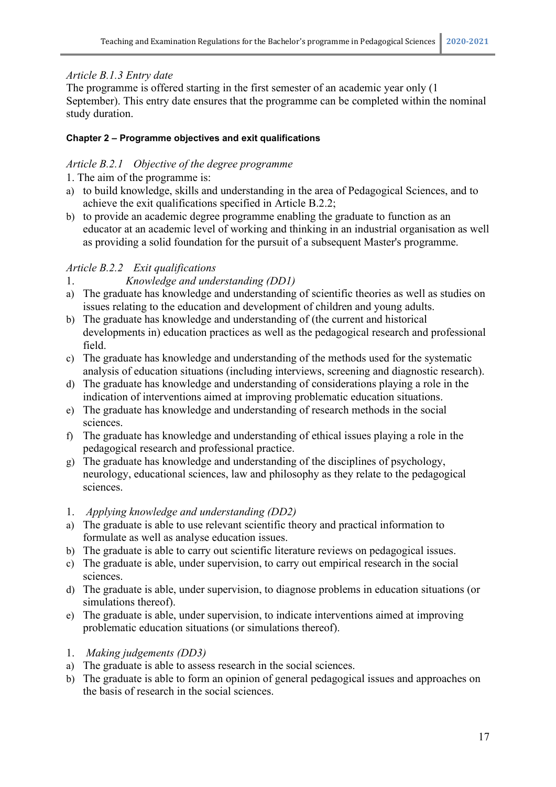## *Article B.1.3 Entry date*

The programme is offered starting in the first semester of an academic year only (1 September). This entry date ensures that the programme can be completed within the nominal study duration.

## **Chapter 2 – Programme objectives and exit qualifications**

## *Article B.2.1 Objective of the degree programme*

- 1. The aim of the programme is:
- a) to build knowledge, skills and understanding in the area of Pedagogical Sciences, and to achieve the exit qualifications specified in Article B.2.2;
- b) to provide an academic degree programme enabling the graduate to function as an educator at an academic level of working and thinking in an industrial organisation as well as providing a solid foundation for the pursuit of a subsequent Master's programme.

## *Article B.2.2 Exit qualifications*

- 1. *Knowledge and understanding (DD1)*
- a) The graduate has knowledge and understanding of scientific theories as well as studies on issues relating to the education and development of children and young adults.
- b) The graduate has knowledge and understanding of (the current and historical developments in) education practices as well as the pedagogical research and professional field.
- c) The graduate has knowledge and understanding of the methods used for the systematic analysis of education situations (including interviews, screening and diagnostic research).
- d) The graduate has knowledge and understanding of considerations playing a role in the indication of interventions aimed at improving problematic education situations.
- e) The graduate has knowledge and understanding of research methods in the social sciences.
- f) The graduate has knowledge and understanding of ethical issues playing a role in the pedagogical research and professional practice.
- g) The graduate has knowledge and understanding of the disciplines of psychology, neurology, educational sciences, law and philosophy as they relate to the pedagogical sciences.
- 1. *Applying knowledge and understanding (DD2)*
- a) The graduate is able to use relevant scientific theory and practical information to formulate as well as analyse education issues.
- b) The graduate is able to carry out scientific literature reviews on pedagogical issues.
- c) The graduate is able, under supervision, to carry out empirical research in the social sciences.
- d) The graduate is able, under supervision, to diagnose problems in education situations (or simulations thereof).
- e) The graduate is able, under supervision, to indicate interventions aimed at improving problematic education situations (or simulations thereof).
- 1. *Making judgements (DD3)*
- a) The graduate is able to assess research in the social sciences.
- b) The graduate is able to form an opinion of general pedagogical issues and approaches on the basis of research in the social sciences.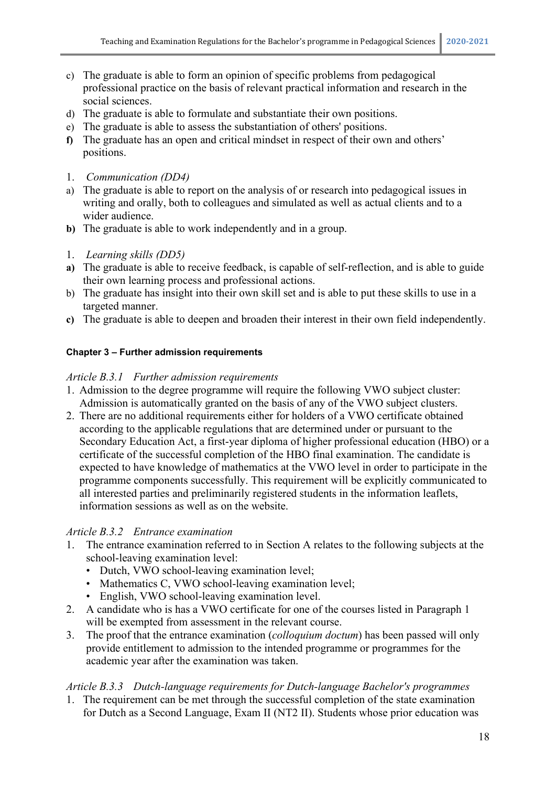- c) The graduate is able to form an opinion of specific problems from pedagogical professional practice on the basis of relevant practical information and research in the social sciences.
- d) The graduate is able to formulate and substantiate their own positions.
- e) The graduate is able to assess the substantiation of others' positions.
- **f)** The graduate has an open and critical mindset in respect of their own and others' positions.
- 1. *Communication (DD4)*
- a) The graduate is able to report on the analysis of or research into pedagogical issues in writing and orally, both to colleagues and simulated as well as actual clients and to a wider audience.
- **b)** The graduate is able to work independently and in a group.
- 1. *Learning skills (DD5)*
- **a)** The graduate is able to receive feedback, is capable of self-reflection, and is able to guide their own learning process and professional actions.
- b) The graduate has insight into their own skill set and is able to put these skills to use in a targeted manner.
- **c)** The graduate is able to deepen and broaden their interest in their own field independently.

#### **Chapter 3 – Further admission requirements**

#### *Article B.3.1 Further admission requirements*

- 1. Admission to the degree programme will require the following VWO subject cluster: Admission is automatically granted on the basis of any of the VWO subject clusters.
- 2. There are no additional requirements either for holders of a VWO certificate obtained according to the applicable regulations that are determined under or pursuant to the Secondary Education Act, a first-year diploma of higher professional education (HBO) or a certificate of the successful completion of the HBO final examination. The candidate is expected to have knowledge of mathematics at the VWO level in order to participate in the programme components successfully. This requirement will be explicitly communicated to all interested parties and preliminarily registered students in the information leaflets, information sessions as well as on the website.

#### *Article B.3.2 Entrance examination*

- 1. The entrance examination referred to in Section A relates to the following subjects at the school-leaving examination level:
	- Dutch, VWO school-leaving examination level;
	- Mathematics C, VWO school-leaving examination level;
	- English, VWO school-leaving examination level.
- 2. A candidate who is has a VWO certificate for one of the courses listed in Paragraph 1 will be exempted from assessment in the relevant course.
- 3. The proof that the entrance examination (*colloquium doctum*) has been passed will only provide entitlement to admission to the intended programme or programmes for the academic year after the examination was taken.

## *Article B.3.3 Dutch-language requirements for Dutch-language Bachelor's programmes*

1. The requirement can be met through the successful completion of the state examination for Dutch as a Second Language, Exam II (NT2 II). Students whose prior education was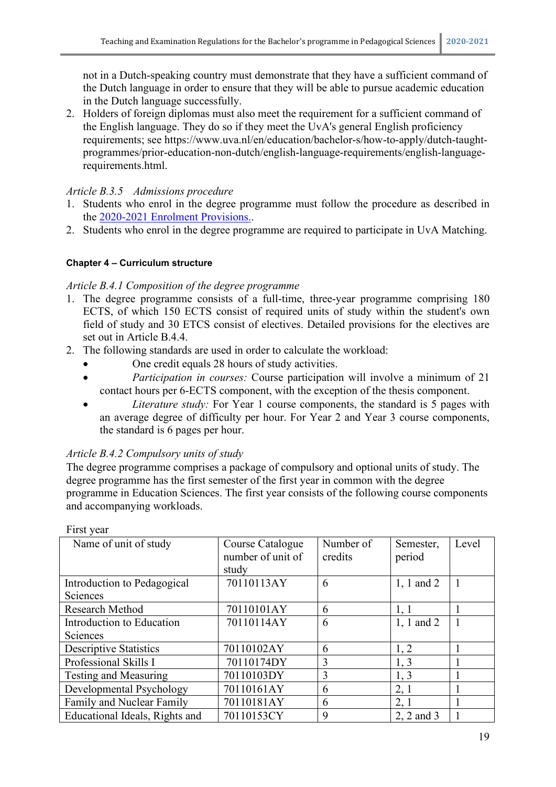not in a Dutch-speaking country must demonstrate that they have a sufficient command of the Dutch language in order to ensure that they will be able to pursue academic education in the Dutch language successfully.

2. Holders of foreign diplomas must also meet the requirement for a sufficient command of the English language. They do so if they meet the UvA's general English proficiency requirements; see https://www.uva.nl/en/education/bachelor-s/how-to-apply/dutch-taughtprogrammes/prior-education-non-dutch/english-language-requirements/english-languagerequirements.html.

## *Article B.3.5 Admissions procedure*

- 1. Students who enrol in the degree programme must follow the procedure as described in the [2020-2021 Enrolment Provisions..](https://www.uva.nl/over-de-uva/over-de-universiteit/regelingen-en-reglementen/onderwijs/onderwijs.html)
- 2. Students who enrol in the degree programme are required to participate in UvA Matching.

## **Chapter 4 – Curriculum structure**

## *Article B.4.1 Composition of the degree programme*

- 1. The degree programme consists of a full-time, three-year programme comprising 180 ECTS, of which 150 ECTS consist of required units of study within the student's own field of study and 30 ETCS consist of electives. Detailed provisions for the electives are set out in Article B.4.4.
- 2. The following standards are used in order to calculate the workload:
	- One credit equals 28 hours of study activities.
	- *Participation in courses:* Course participation will involve a minimum of 21 contact hours per 6-ECTS component, with the exception of the thesis component.
	- *Literature study:* For Year 1 course components, the standard is 5 pages with an average degree of difficulty per hour. For Year 2 and Year 3 course components, the standard is 6 pages per hour.

## *Article B.4.2 Compulsory units of study*

The degree programme comprises a package of compulsory and optional units of study. The degree programme has the first semester of the first year in common with the degree programme in Education Sciences. The first year consists of the following course components and accompanying workloads.

| Name of unit of study          | Course Catalogue<br>number of unit of | Number of<br>credits | Semester,<br>period | Level |
|--------------------------------|---------------------------------------|----------------------|---------------------|-------|
|                                | study                                 |                      |                     |       |
| Introduction to Pedagogical    | 70110113AY                            | 6                    | $1, 1$ and $2$      |       |
| Sciences                       |                                       |                      |                     |       |
| Research Method                | 70110101AY                            | 6                    | 1, 1                |       |
| Introduction to Education      | 70110114AY                            | 6                    | 1, 1 and 2          |       |
| Sciences                       |                                       |                      |                     |       |
| <b>Descriptive Statistics</b>  | 70110102AY                            | 6                    | 1, 2                |       |
| Professional Skills I          | 70110174DY                            | 3                    | 1, 3                |       |
| Testing and Measuring          | 70110103DY                            | 3                    | 1, 3                |       |
| Developmental Psychology       | 70110161AY                            | 6                    | 2,1                 |       |
| Family and Nuclear Family      | 70110181AY                            | 6                    | 2, 1                |       |
| Educational Ideals, Rights and | 70110153CY                            | 9                    | 2, 2 and 3          |       |

First year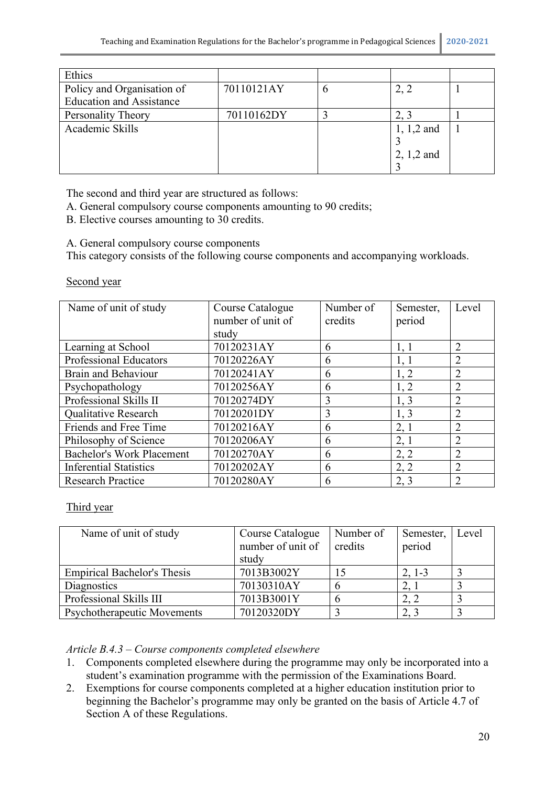| Ethics                          |            |             |               |  |
|---------------------------------|------------|-------------|---------------|--|
| Policy and Organisation of      | 70110121AY | $\mathbf b$ |               |  |
| <b>Education and Assistance</b> |            |             |               |  |
| Personality Theory              | 70110162DY |             |               |  |
| Academic Skills                 |            |             | $1, 1, 2$ and |  |
|                                 |            |             |               |  |
|                                 |            |             | $2, 1, 2$ and |  |
|                                 |            |             |               |  |

The second and third year are structured as follows:

A. General compulsory course components amounting to 90 credits;

B. Elective courses amounting to 30 credits.

A. General compulsory course components

This category consists of the following course components and accompanying workloads.

#### Second year

| Name of unit of study            | Course Catalogue  | Number of | Semester, | Level          |
|----------------------------------|-------------------|-----------|-----------|----------------|
|                                  | number of unit of | credits   | period    |                |
|                                  | study             |           |           |                |
| Learning at School               | 70120231AY        | 6         | 1, 1      | $\overline{2}$ |
| <b>Professional Educators</b>    | 70120226AY        | 6         | 1, 1      | $\overline{2}$ |
| <b>Brain and Behaviour</b>       | 70120241AY        | 6         | 1, 2      | $\overline{2}$ |
| Psychopathology                  | 70120256AY        | 6         | 1, 2      | $\overline{2}$ |
| Professional Skills II           | 70120274DY        | 3         | 1, 3      | $\overline{2}$ |
| Qualitative Research             | 70120201DY        | 3         | 1, 3      | $\overline{2}$ |
| Friends and Free Time            | 70120216AY        | 6         | 2, 1      | $\overline{2}$ |
| Philosophy of Science            | 70120206AY        | 6         | 2, 1      | 2              |
| <b>Bachelor's Work Placement</b> | 70120270AY        | 6         | 2, 2      | $\overline{2}$ |
| <b>Inferential Statistics</b>    | 70120202AY        | 6         | 2, 2      | $\overline{2}$ |
| <b>Research Practice</b>         | 70120280AY        | 6         | 2, 3      | $\overline{2}$ |

## Third year

| Name of unit of study              | Course Catalogue  | Number of | Semester, | Level |
|------------------------------------|-------------------|-----------|-----------|-------|
|                                    | number of unit of | credits   | period    |       |
|                                    | study             |           |           |       |
| <b>Empirical Bachelor's Thesis</b> | 7013B3002Y        | 15        | $2, 1-3$  |       |
| Diagnostics                        | 70130310AY        |           | 2,        |       |
| Professional Skills III            | 7013B3001Y        |           | 2, 2      |       |
| Psychotherapeutic Movements        | 70120320DY        |           | 2, 3      |       |

*Article B.4.3 – Course components completed elsewhere*

- 1. Components completed elsewhere during the programme may only be incorporated into a student's examination programme with the permission of the Examinations Board.
- 2. Exemptions for course components completed at a higher education institution prior to beginning the Bachelor's programme may only be granted on the basis of Article 4.7 of Section A of these Regulations.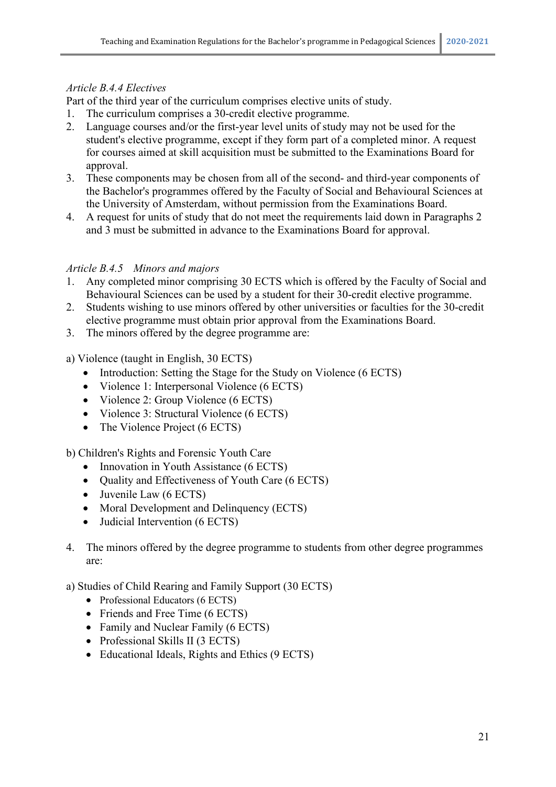#### *Article B.4.4 Electives*

Part of the third year of the curriculum comprises elective units of study.

- 1. The curriculum comprises a 30-credit elective programme.
- 2. Language courses and/or the first-year level units of study may not be used for the student's elective programme, except if they form part of a completed minor. A request for courses aimed at skill acquisition must be submitted to the Examinations Board for approval.
- 3. These components may be chosen from all of the second- and third-year components of the Bachelor's programmes offered by the Faculty of Social and Behavioural Sciences at the University of Amsterdam, without permission from the Examinations Board.
- 4. A request for units of study that do not meet the requirements laid down in Paragraphs 2 and 3 must be submitted in advance to the Examinations Board for approval.

#### *Article B.4.5 Minors and majors*

- 1. Any completed minor comprising 30 ECTS which is offered by the Faculty of Social and Behavioural Sciences can be used by a student for their 30-credit elective programme.
- 2. Students wishing to use minors offered by other universities or faculties for the 30-credit elective programme must obtain prior approval from the Examinations Board.
- 3. The minors offered by the degree programme are:

a) Violence (taught in English, 30 ECTS)

- Introduction: Setting the Stage for the Study on Violence (6 ECTS)
- Violence 1: Interpersonal Violence (6 ECTS)
- Violence 2: Group Violence (6 ECTS)
- Violence 3: Structural Violence (6 ECTS)
- The Violence Project (6 ECTS)

b) Children's Rights and Forensic Youth Care

- Innovation in Youth Assistance (6 ECTS)
- Quality and Effectiveness of Youth Care (6 ECTS)
- Juvenile Law (6 ECTS)
- Moral Development and Delinquency (ECTS)
- Judicial Intervention (6 ECTS)
- 4. The minors offered by the degree programme to students from other degree programmes are:

a) Studies of Child Rearing and Family Support (30 ECTS)

- Professional Educators (6 ECTS)
- Friends and Free Time (6 ECTS)
- Family and Nuclear Family (6 ECTS)
- Professional Skills II (3 ECTS)
- Educational Ideals, Rights and Ethics (9 ECTS)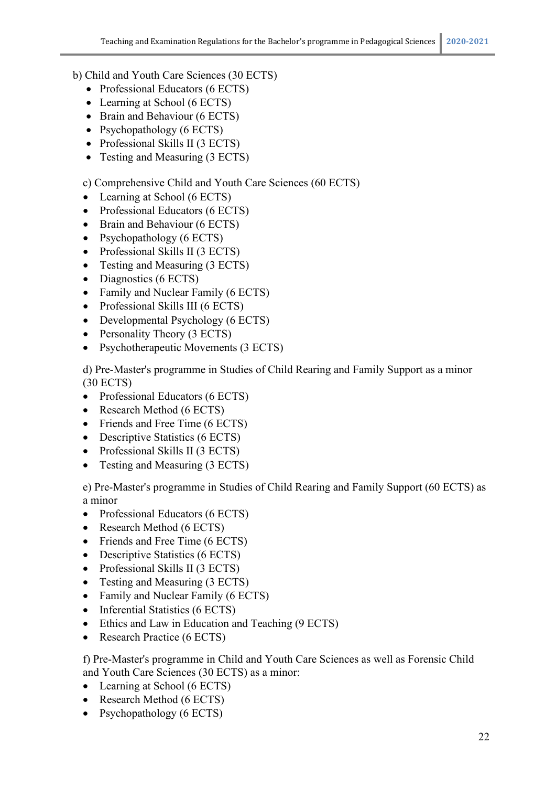- b) Child and Youth Care Sciences (30 ECTS)
	- Professional Educators (6 ECTS)
	- Learning at School (6 ECTS)
	- Brain and Behaviour (6 ECTS)
	- Psychopathology (6 ECTS)
	- Professional Skills II (3 ECTS)
	- Testing and Measuring (3 ECTS)

c) Comprehensive Child and Youth Care Sciences (60 ECTS)

- Learning at School (6 ECTS)
- Professional Educators (6 ECTS)
- Brain and Behaviour (6 ECTS)
- Psychopathology (6 ECTS)
- Professional Skills II (3 ECTS)
- Testing and Measuring (3 ECTS)
- Diagnostics (6 ECTS)
- Family and Nuclear Family (6 ECTS)
- Professional Skills III (6 ECTS)
- Developmental Psychology (6 ECTS)
- Personality Theory (3 ECTS)
- Psychotherapeutic Movements (3 ECTS)

d) Pre-Master's programme in Studies of Child Rearing and Family Support as a minor (30 ECTS)

- Professional Educators (6 ECTS)
- Research Method (6 ECTS)
- Friends and Free Time (6 ECTS)
- Descriptive Statistics (6 ECTS)
- Professional Skills II (3 ECTS)
- Testing and Measuring (3 ECTS)

e) Pre-Master's programme in Studies of Child Rearing and Family Support (60 ECTS) as a minor

- Professional Educators (6 ECTS)
- Research Method (6 ECTS)
- Friends and Free Time (6 ECTS)
- Descriptive Statistics (6 ECTS)
- Professional Skills II (3 ECTS)
- Testing and Measuring (3 ECTS)
- Family and Nuclear Family (6 ECTS)
- Inferential Statistics (6 ECTS)
- Ethics and Law in Education and Teaching (9 ECTS)
- Research Practice (6 ECTS)

f) Pre-Master's programme in Child and Youth Care Sciences as well as Forensic Child and Youth Care Sciences (30 ECTS) as a minor:

- Learning at School (6 ECTS)
- Research Method (6 ECTS)
- Psychopathology (6 ECTS)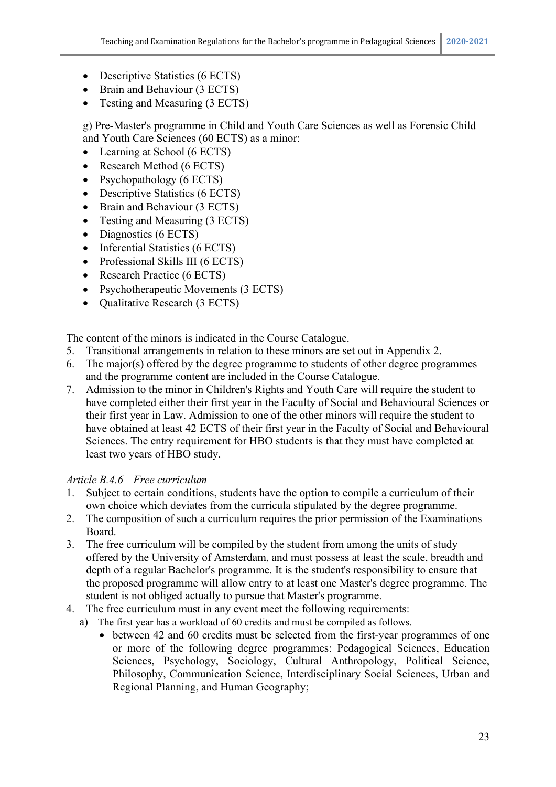- Descriptive Statistics (6 ECTS)
- Brain and Behaviour (3 ECTS)
- Testing and Measuring (3 ECTS)

g) Pre-Master's programme in Child and Youth Care Sciences as well as Forensic Child and Youth Care Sciences (60 ECTS) as a minor:

- Learning at School (6 ECTS)
- Research Method (6 ECTS)
- Psychopathology (6 ECTS)
- Descriptive Statistics (6 ECTS)
- Brain and Behaviour (3 ECTS)
- Testing and Measuring (3 ECTS)
- Diagnostics (6 ECTS)
- Inferential Statistics (6 ECTS)
- Professional Skills III (6 ECTS)
- Research Practice (6 ECTS)
- Psychotherapeutic Movements (3 ECTS)
- Oualitative Research (3 ECTS)

The content of the minors is indicated in the Course Catalogue.

- 5. Transitional arrangements in relation to these minors are set out in Appendix 2.
- 6. The major(s) offered by the degree programme to students of other degree programmes and the programme content are included in the Course Catalogue.
- 7. Admission to the minor in Children's Rights and Youth Care will require the student to have completed either their first year in the Faculty of Social and Behavioural Sciences or their first year in Law. Admission to one of the other minors will require the student to have obtained at least 42 ECTS of their first year in the Faculty of Social and Behavioural Sciences. The entry requirement for HBO students is that they must have completed at least two years of HBO study.

## *Article B.4.6 Free curriculum*

- 1. Subject to certain conditions, students have the option to compile a curriculum of their own choice which deviates from the curricula stipulated by the degree programme.
- 2. The composition of such a curriculum requires the prior permission of the Examinations Board.
- 3. The free curriculum will be compiled by the student from among the units of study offered by the University of Amsterdam, and must possess at least the scale, breadth and depth of a regular Bachelor's programme. It is the student's responsibility to ensure that the proposed programme will allow entry to at least one Master's degree programme. The student is not obliged actually to pursue that Master's programme.
- 4. The free curriculum must in any event meet the following requirements:
	- a) The first year has a workload of 60 credits and must be compiled as follows.
		- between 42 and 60 credits must be selected from the first-year programmes of one or more of the following degree programmes: Pedagogical Sciences, Education Sciences, Psychology, Sociology, Cultural Anthropology, Political Science, Philosophy, Communication Science, Interdisciplinary Social Sciences, Urban and Regional Planning, and Human Geography;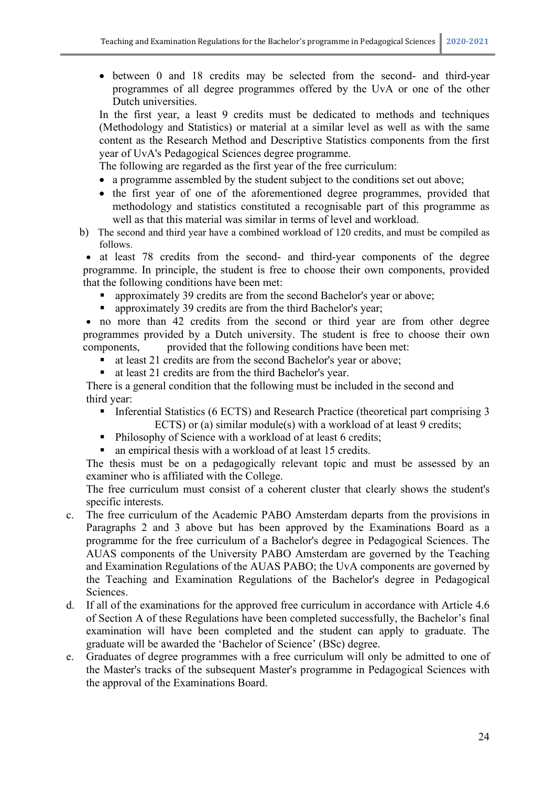• between 0 and 18 credits may be selected from the second- and third-year programmes of all degree programmes offered by the UvA or one of the other Dutch universities.

In the first year, a least 9 credits must be dedicated to methods and techniques (Methodology and Statistics) or material at a similar level as well as with the same content as the Research Method and Descriptive Statistics components from the first year of UvA's Pedagogical Sciences degree programme.

The following are regarded as the first year of the free curriculum:

- a programme assembled by the student subject to the conditions set out above;
- the first year of one of the aforementioned degree programmes, provided that methodology and statistics constituted a recognisable part of this programme as well as that this material was similar in terms of level and workload.
- b) The second and third year have a combined workload of 120 credits, and must be compiled as follows.

• at least 78 credits from the second- and third-year components of the degree programme. In principle, the student is free to choose their own components, provided that the following conditions have been met:

- approximately 39 credits are from the second Bachelor's year or above;
- approximately 39 credits are from the third Bachelor's year;

• no more than 42 credits from the second or third year are from other degree programmes provided by a Dutch university. The student is free to choose their own components, provided that the following conditions have been met:

- at least 21 credits are from the second Bachelor's year or above;
- at least 21 credits are from the third Bachelor's year.

There is a general condition that the following must be included in the second and third year:

- **Inferential Statistics (6 ECTS) and Research Practice (theoretical part comprising 3** ECTS) or (a) similar module(s) with a workload of at least 9 credits;
- **Philosophy of Science with a workload of at least 6 credits;**
- an empirical thesis with a workload of at least 15 credits.

The thesis must be on a pedagogically relevant topic and must be assessed by an examiner who is affiliated with the College.

The free curriculum must consist of a coherent cluster that clearly shows the student's specific interests.

- c. The free curriculum of the Academic PABO Amsterdam departs from the provisions in Paragraphs 2 and 3 above but has been approved by the Examinations Board as a programme for the free curriculum of a Bachelor's degree in Pedagogical Sciences. The AUAS components of the University PABO Amsterdam are governed by the Teaching and Examination Regulations of the AUAS PABO; the UvA components are governed by the Teaching and Examination Regulations of the Bachelor's degree in Pedagogical Sciences.
- d. If all of the examinations for the approved free curriculum in accordance with Article 4.6 of Section A of these Regulations have been completed successfully, the Bachelor's final examination will have been completed and the student can apply to graduate. The graduate will be awarded the 'Bachelor of Science' (BSc) degree.
- e. Graduates of degree programmes with a free curriculum will only be admitted to one of the Master's tracks of the subsequent Master's programme in Pedagogical Sciences with the approval of the Examinations Board.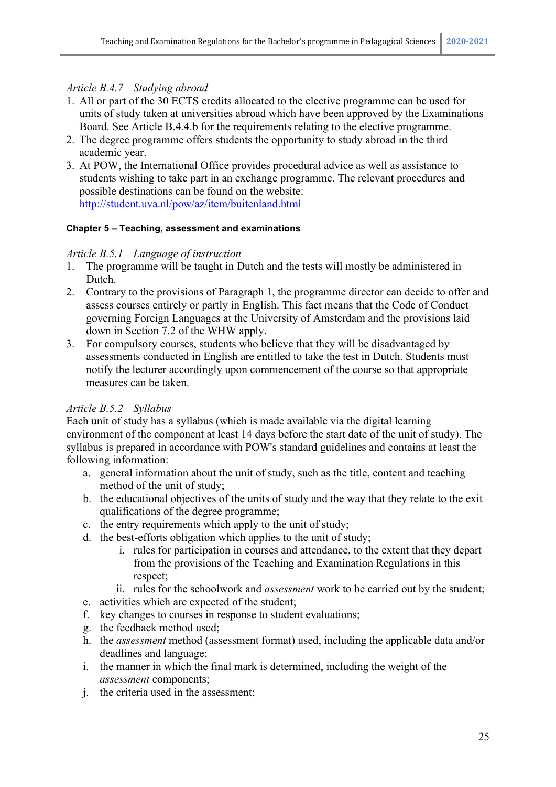## *Article B.4.7 Studying abroad*

- 1. All or part of the 30 ECTS credits allocated to the elective programme can be used for units of study taken at universities abroad which have been approved by the Examinations Board. See Article B.4.4.b for the requirements relating to the elective programme.
- 2. The degree programme offers students the opportunity to study abroad in the third academic year.
- 3. At POW, the International Office provides procedural advice as well as assistance to students wishing to take part in an exchange programme. The relevant procedures and possible destinations can be found on the website: http://student.uva.nl/pow/az/item/buitenland.html

#### **Chapter 5 – Teaching, assessment and examinations**

#### *Article B.5.1 Language of instruction*

- 1. The programme will be taught in Dutch and the tests will mostly be administered in Dutch.
- 2. Contrary to the provisions of Paragraph 1, the programme director can decide to offer and assess courses entirely or partly in English. This fact means that the Code of Conduct governing Foreign Languages at the University of Amsterdam and the provisions laid down in Section 7.2 of the WHW apply.
- 3. For compulsory courses, students who believe that they will be disadvantaged by assessments conducted in English are entitled to take the test in Dutch. Students must notify the lecturer accordingly upon commencement of the course so that appropriate measures can be taken.

## *Article B.5.2 Syllabus*

Each unit of study has a syllabus (which is made available via the digital learning environment of the component at least 14 days before the start date of the unit of study). The syllabus is prepared in accordance with POW's standard guidelines and contains at least the following information:

- a. general information about the unit of study, such as the title, content and teaching method of the unit of study;
- b. the educational objectives of the units of study and the way that they relate to the exit qualifications of the degree programme;
- c. the entry requirements which apply to the unit of study;
- d. the best-efforts obligation which applies to the unit of study;
	- i. rules for participation in courses and attendance, to the extent that they depart from the provisions of the Teaching and Examination Regulations in this respect;
	- ii. rules for the schoolwork and *assessment* work to be carried out by the student;
- e. activities which are expected of the student;
- f. key changes to courses in response to student evaluations;
- g. the feedback method used;
- h. the *assessment* method (assessment format) used, including the applicable data and/or deadlines and language;
- i. the manner in which the final mark is determined, including the weight of the *assessment* components;
- j. the criteria used in the assessment;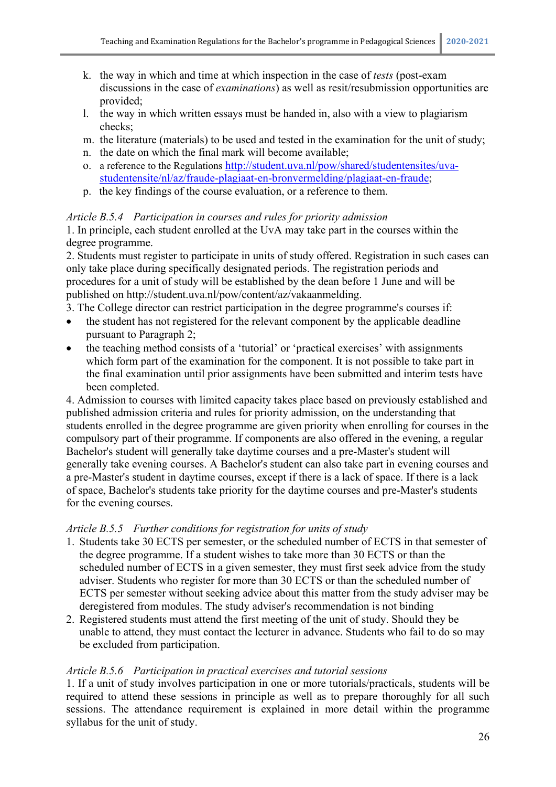- k. the way in which and time at which inspection in the case of *tests* (post-exam discussions in the case of *examinations*) as well as resit/resubmission opportunities are provided;
- l. the way in which written essays must be handed in, also with a view to plagiarism checks;
- m. the literature (materials) to be used and tested in the examination for the unit of study;
- n. the date on which the final mark will become available;
- o. a reference to the Regulations [http://student.uva.nl/pow/shared/studentensites/uva](http://student.uva.nl/pow/shared/studentensites/uva-studentensite/nl/az/fraude-plagiaat-en-bronvermelding/plagiaat-en-fraude)[studentensite/nl/az/fraude-plagiaat-en-bronvermelding/plagiaat-en-fraude;](http://student.uva.nl/pow/shared/studentensites/uva-studentensite/nl/az/fraude-plagiaat-en-bronvermelding/plagiaat-en-fraude)
- p. the key findings of the course evaluation, or a reference to them.

#### *Article B.5.4 Participation in courses and rules for priority admission*

1. In principle, each student enrolled at the UvA may take part in the courses within the degree programme.

2. Students must register to participate in units of study offered. Registration in such cases can only take place during specifically designated periods. The registration periods and procedures for a unit of study will be established by the dean before 1 June and will be published on http://student.uva.nl/pow/content/az/vakaanmelding.

3. The College director can restrict participation in the degree programme's courses if:

- the student has not registered for the relevant component by the applicable deadline pursuant to Paragraph 2;
- the teaching method consists of a 'tutorial' or 'practical exercises' with assignments which form part of the examination for the component. It is not possible to take part in the final examination until prior assignments have been submitted and interim tests have been completed.

4. Admission to courses with limited capacity takes place based on previously established and published admission criteria and rules for priority admission, on the understanding that students enrolled in the degree programme are given priority when enrolling for courses in the compulsory part of their programme. If components are also offered in the evening, a regular Bachelor's student will generally take daytime courses and a pre-Master's student will generally take evening courses. A Bachelor's student can also take part in evening courses and a pre-Master's student in daytime courses, except if there is a lack of space. If there is a lack of space, Bachelor's students take priority for the daytime courses and pre-Master's students for the evening courses.

## *Article B.5.5 Further conditions for registration for units of study*

- 1. Students take 30 ECTS per semester, or the scheduled number of ECTS in that semester of the degree programme. If a student wishes to take more than 30 ECTS or than the scheduled number of ECTS in a given semester, they must first seek advice from the study adviser. Students who register for more than 30 ECTS or than the scheduled number of ECTS per semester without seeking advice about this matter from the study adviser may be deregistered from modules. The study adviser's recommendation is not binding
- 2. Registered students must attend the first meeting of the unit of study. Should they be unable to attend, they must contact the lecturer in advance. Students who fail to do so may be excluded from participation.

## *Article B.5.6 Participation in practical exercises and tutorial sessions*

1. If a unit of study involves participation in one or more tutorials/practicals, students will be required to attend these sessions in principle as well as to prepare thoroughly for all such sessions. The attendance requirement is explained in more detail within the programme syllabus for the unit of study.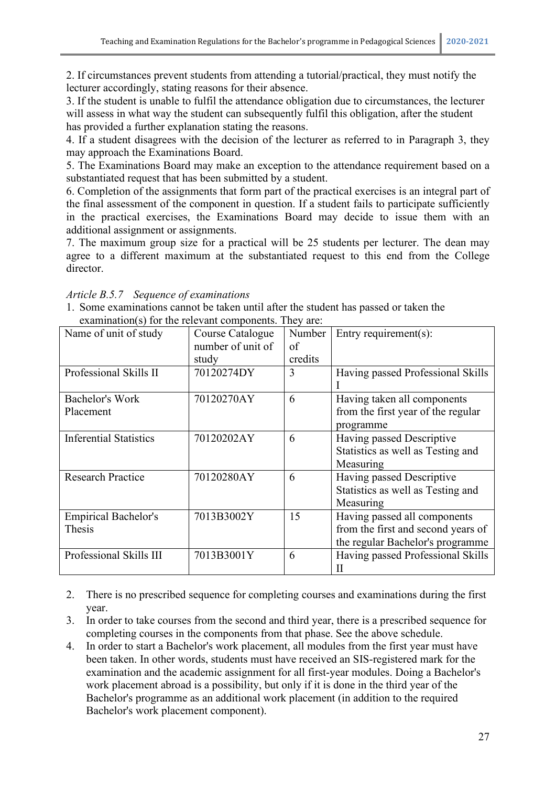2. If circumstances prevent students from attending a tutorial/practical, they must notify the lecturer accordingly, stating reasons for their absence.

3. If the student is unable to fulfil the attendance obligation due to circumstances, the lecturer will assess in what way the student can subsequently fulfil this obligation, after the student has provided a further explanation stating the reasons.

4. If a student disagrees with the decision of the lecturer as referred to in Paragraph 3, they may approach the Examinations Board.

5. The Examinations Board may make an exception to the attendance requirement based on a substantiated request that has been submitted by a student.

6. Completion of the assignments that form part of the practical exercises is an integral part of the final assessment of the component in question. If a student fails to participate sufficiently in the practical exercises, the Examinations Board may decide to issue them with an additional assignment or assignments.

7. The maximum group size for a practical will be 25 students per lecturer. The dean may agree to a different maximum at the substantiated request to this end from the College director.

| examination(s) for the refevant components. They are: |                   |         |                                    |  |
|-------------------------------------------------------|-------------------|---------|------------------------------------|--|
| Name of unit of study                                 | Course Catalogue  | Number  | Entry requirement $(s)$ :          |  |
|                                                       | number of unit of | of      |                                    |  |
|                                                       | study             | credits |                                    |  |
| Professional Skills II                                | 70120274DY        | 3       | Having passed Professional Skills  |  |
|                                                       |                   |         |                                    |  |
| <b>Bachelor's Work</b>                                | 70120270AY        | 6       | Having taken all components        |  |
| Placement                                             |                   |         | from the first year of the regular |  |
|                                                       |                   |         | programme                          |  |
| <b>Inferential Statistics</b>                         | 70120202AY        | 6       | Having passed Descriptive          |  |
|                                                       |                   |         | Statistics as well as Testing and  |  |
|                                                       |                   |         | Measuring                          |  |
| <b>Research Practice</b>                              | 70120280AY        | 6       | Having passed Descriptive          |  |
|                                                       |                   |         | Statistics as well as Testing and  |  |
|                                                       |                   |         | Measuring                          |  |
| <b>Empirical Bachelor's</b>                           | 7013B3002Y        | 15      | Having passed all components       |  |
| Thesis                                                |                   |         | from the first and second years of |  |
|                                                       |                   |         | the regular Bachelor's programme   |  |
| Professional Skills III                               | 7013B3001Y        | 6       | Having passed Professional Skills  |  |
|                                                       |                   |         | П                                  |  |

*Article B.5.7 Sequence of examinations*

1. Some examinations cannot be taken until after the student has passed or taken the examination(s) for the relevant components. They are:

- 2. There is no prescribed sequence for completing courses and examinations during the first year.
- 3. In order to take courses from the second and third year, there is a prescribed sequence for completing courses in the components from that phase. See the above schedule.
- 4. In order to start a Bachelor's work placement, all modules from the first year must have been taken. In other words, students must have received an SIS-registered mark for the examination and the academic assignment for all first-year modules. Doing a Bachelor's work placement abroad is a possibility, but only if it is done in the third year of the Bachelor's programme as an additional work placement (in addition to the required Bachelor's work placement component).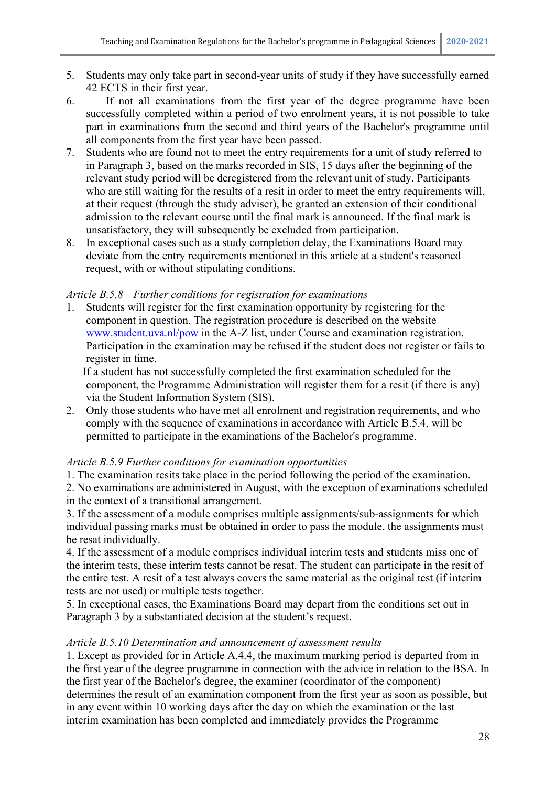- 5. Students may only take part in second-year units of study if they have successfully earned 42 ECTS in their first year.
- 6. If not all examinations from the first year of the degree programme have been successfully completed within a period of two enrolment years, it is not possible to take part in examinations from the second and third years of the Bachelor's programme until all components from the first year have been passed.
- 7. Students who are found not to meet the entry requirements for a unit of study referred to in Paragraph 3, based on the marks recorded in SIS, 15 days after the beginning of the relevant study period will be deregistered from the relevant unit of study. Participants who are still waiting for the results of a resit in order to meet the entry requirements will, at their request (through the study adviser), be granted an extension of their conditional admission to the relevant course until the final mark is announced. If the final mark is unsatisfactory, they will subsequently be excluded from participation.
- 8. In exceptional cases such as a study completion delay, the Examinations Board may deviate from the entry requirements mentioned in this article at a student's reasoned request, with or without stipulating conditions.

#### *Article B.5.8 Further conditions for registration for examinations*

1. Students will register for the first examination opportunity by registering for the component in question. The registration procedure is described on the website [www.student.uva.nl/pow](http://www.student.uva.nl/pow) in the A-Z list, under Course and examination registration. Participation in the examination may be refused if the student does not register or fails to register in time.

If a student has not successfully completed the first examination scheduled for the component, the Programme Administration will register them for a resit (if there is any) via the Student Information System (SIS).

2. Only those students who have met all enrolment and registration requirements, and who comply with the sequence of examinations in accordance with Article B.5.4, will be permitted to participate in the examinations of the Bachelor's programme.

#### *Article B.5.9 Further conditions for examination opportunities*

1. The examination resits take place in the period following the period of the examination.

2. No examinations are administered in August, with the exception of examinations scheduled in the context of a transitional arrangement.

3. If the assessment of a module comprises multiple assignments/sub-assignments for which individual passing marks must be obtained in order to pass the module, the assignments must be resat individually.

4. If the assessment of a module comprises individual interim tests and students miss one of the interim tests, these interim tests cannot be resat. The student can participate in the resit of the entire test. A resit of a test always covers the same material as the original test (if interim tests are not used) or multiple tests together.

5. In exceptional cases, the Examinations Board may depart from the conditions set out in Paragraph 3 by a substantiated decision at the student's request.

#### *Article B.5.10 Determination and announcement of assessment results*

1. Except as provided for in Article A.4.4, the maximum marking period is departed from in the first year of the degree programme in connection with the advice in relation to the BSA. In the first year of the Bachelor's degree, the examiner (coordinator of the component) determines the result of an examination component from the first year as soon as possible, but in any event within 10 working days after the day on which the examination or the last interim examination has been completed and immediately provides the Programme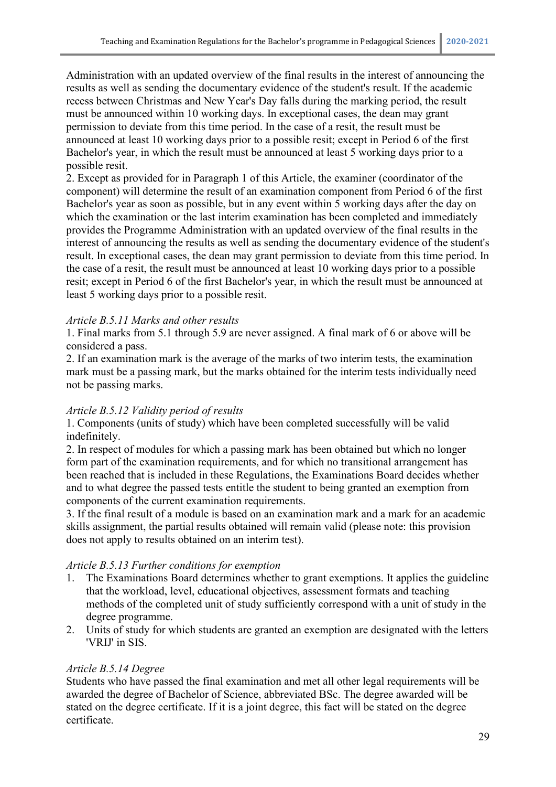Administration with an updated overview of the final results in the interest of announcing the results as well as sending the documentary evidence of the student's result. If the academic recess between Christmas and New Year's Day falls during the marking period, the result must be announced within 10 working days. In exceptional cases, the dean may grant permission to deviate from this time period. In the case of a resit, the result must be announced at least 10 working days prior to a possible resit; except in Period 6 of the first Bachelor's year, in which the result must be announced at least 5 working days prior to a possible resit.

2. Except as provided for in Paragraph 1 of this Article, the examiner (coordinator of the component) will determine the result of an examination component from Period 6 of the first Bachelor's year as soon as possible, but in any event within 5 working days after the day on which the examination or the last interim examination has been completed and immediately provides the Programme Administration with an updated overview of the final results in the interest of announcing the results as well as sending the documentary evidence of the student's result. In exceptional cases, the dean may grant permission to deviate from this time period. In the case of a resit, the result must be announced at least 10 working days prior to a possible resit; except in Period 6 of the first Bachelor's year, in which the result must be announced at least 5 working days prior to a possible resit.

## *Article B.5.11 Marks and other results*

1. Final marks from 5.1 through 5.9 are never assigned. A final mark of 6 or above will be considered a pass.

2. If an examination mark is the average of the marks of two interim tests, the examination mark must be a passing mark, but the marks obtained for the interim tests individually need not be passing marks.

## *Article B.5.12 Validity period of results*

1. Components (units of study) which have been completed successfully will be valid indefinitely.

2. In respect of modules for which a passing mark has been obtained but which no longer form part of the examination requirements, and for which no transitional arrangement has been reached that is included in these Regulations, the Examinations Board decides whether and to what degree the passed tests entitle the student to being granted an exemption from components of the current examination requirements.

3. If the final result of a module is based on an examination mark and a mark for an academic skills assignment, the partial results obtained will remain valid (please note: this provision does not apply to results obtained on an interim test).

## *Article B.5.13 Further conditions for exemption*

- 1. The Examinations Board determines whether to grant exemptions. It applies the guideline that the workload, level, educational objectives, assessment formats and teaching methods of the completed unit of study sufficiently correspond with a unit of study in the degree programme.
- 2. Units of study for which students are granted an exemption are designated with the letters 'VRIJ' in SIS.

## *Article B.5.14 Degree*

Students who have passed the final examination and met all other legal requirements will be awarded the degree of Bachelor of Science, abbreviated BSc. The degree awarded will be stated on the degree certificate. If it is a joint degree, this fact will be stated on the degree certificate.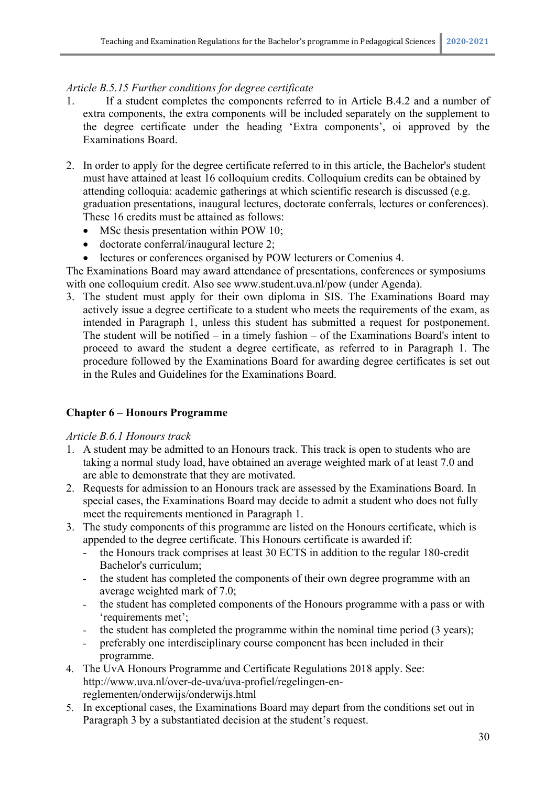## *Article B.5.15 Further conditions for degree certificate*

- 1. If a student completes the components referred to in Article B.4.2 and a number of extra components, the extra components will be included separately on the supplement to the degree certificate under the heading 'Extra components', oi approved by the Examinations Board.
- 2. In order to apply for the degree certificate referred to in this article, the Bachelor's student must have attained at least 16 colloquium credits. Colloquium credits can be obtained by attending colloquia: academic gatherings at which scientific research is discussed (e.g. graduation presentations, inaugural lectures, doctorate conferrals, lectures or conferences). These 16 credits must be attained as follows:
	- MSc thesis presentation within POW 10;
	- doctorate conferral/inaugural lecture 2;
	- lectures or conferences organised by POW lecturers or Comenius 4.

The Examinations Board may award attendance of presentations, conferences or symposiums with one colloquium credit. Also see www.student.uva.nl/pow (under Agenda).

3. The student must apply for their own diploma in SIS. The Examinations Board may actively issue a degree certificate to a student who meets the requirements of the exam, as intended in Paragraph 1, unless this student has submitted a request for postponement. The student will be notified – in a timely fashion – of the Examinations Board's intent to proceed to award the student a degree certificate, as referred to in Paragraph 1. The procedure followed by the Examinations Board for awarding degree certificates is set out in the Rules and Guidelines for the Examinations Board.

## **Chapter 6 – Honours Programme**

#### *Article B.6.1 Honours track*

- 1. A student may be admitted to an Honours track. This track is open to students who are taking a normal study load, have obtained an average weighted mark of at least 7.0 and are able to demonstrate that they are motivated.
- 2. Requests for admission to an Honours track are assessed by the Examinations Board. In special cases, the Examinations Board may decide to admit a student who does not fully meet the requirements mentioned in Paragraph 1.
- 3. The study components of this programme are listed on the Honours certificate, which is appended to the degree certificate. This Honours certificate is awarded if:
	- the Honours track comprises at least 30 ECTS in addition to the regular 180-credit Bachelor's curriculum;
	- the student has completed the components of their own degree programme with an average weighted mark of 7.0;
	- the student has completed components of the Honours programme with a pass or with 'requirements met';
	- the student has completed the programme within the nominal time period (3 years);
	- preferably one interdisciplinary course component has been included in their programme.
- 4. The UvA Honours Programme and Certificate Regulations 2018 apply. See: http://www.uva.nl/over-de-uva/uva-profiel/regelingen-enreglementen/onderwijs/onderwijs.html
- 5. In exceptional cases, the Examinations Board may depart from the conditions set out in Paragraph 3 by a substantiated decision at the student's request.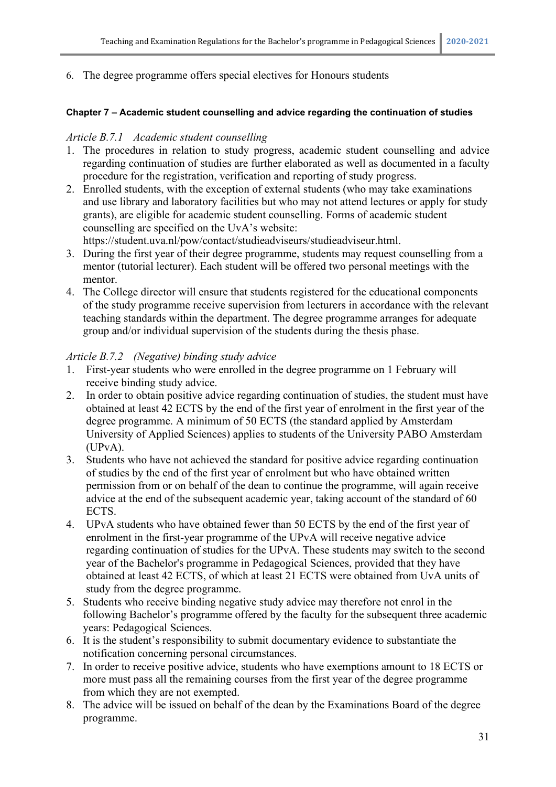#### 6. The degree programme offers special electives for Honours students

#### **Chapter 7 – Academic student counselling and advice regarding the continuation of studies**

#### *Article B.7.1 Academic student counselling*

- 1. The procedures in relation to study progress, academic student counselling and advice regarding continuation of studies are further elaborated as well as documented in a faculty procedure for the registration, verification and reporting of study progress.
- 2. Enrolled students, with the exception of external students (who may take examinations and use library and laboratory facilities but who may not attend lectures or apply for study grants), are eligible for academic student counselling. Forms of academic student counselling are specified on the UvA's website:

https://student.uva.nl/pow/contact/studieadviseurs/studieadviseur.html.

- 3. During the first year of their degree programme, students may request counselling from a mentor (tutorial lecturer). Each student will be offered two personal meetings with the mentor.
- 4. The College director will ensure that students registered for the educational components of the study programme receive supervision from lecturers in accordance with the relevant teaching standards within the department. The degree programme arranges for adequate group and/or individual supervision of the students during the thesis phase.

#### *Article B.7.2 (Negative) binding study advice*

- 1. First-year students who were enrolled in the degree programme on 1 February will receive binding study advice.
- 2. In order to obtain positive advice regarding continuation of studies, the student must have obtained at least 42 ECTS by the end of the first year of enrolment in the first year of the degree programme. A minimum of 50 ECTS (the standard applied by Amsterdam University of Applied Sciences) applies to students of the University PABO Amsterdam (UPvA).
- 3. Students who have not achieved the standard for positive advice regarding continuation of studies by the end of the first year of enrolment but who have obtained written permission from or on behalf of the dean to continue the programme, will again receive advice at the end of the subsequent academic year, taking account of the standard of 60 ECTS.
- 4. UPvA students who have obtained fewer than 50 ECTS by the end of the first year of enrolment in the first-year programme of the UPvA will receive negative advice regarding continuation of studies for the UPvA. These students may switch to the second year of the Bachelor's programme in Pedagogical Sciences, provided that they have obtained at least 42 ECTS, of which at least 21 ECTS were obtained from UvA units of study from the degree programme.
- 5. Students who receive binding negative study advice may therefore not enrol in the following Bachelor's programme offered by the faculty for the subsequent three academic years: Pedagogical Sciences.
- 6. It is the student's responsibility to submit documentary evidence to substantiate the notification concerning personal circumstances.
- 7. In order to receive positive advice, students who have exemptions amount to 18 ECTS or more must pass all the remaining courses from the first year of the degree programme from which they are not exempted.
- 8. The advice will be issued on behalf of the dean by the Examinations Board of the degree programme.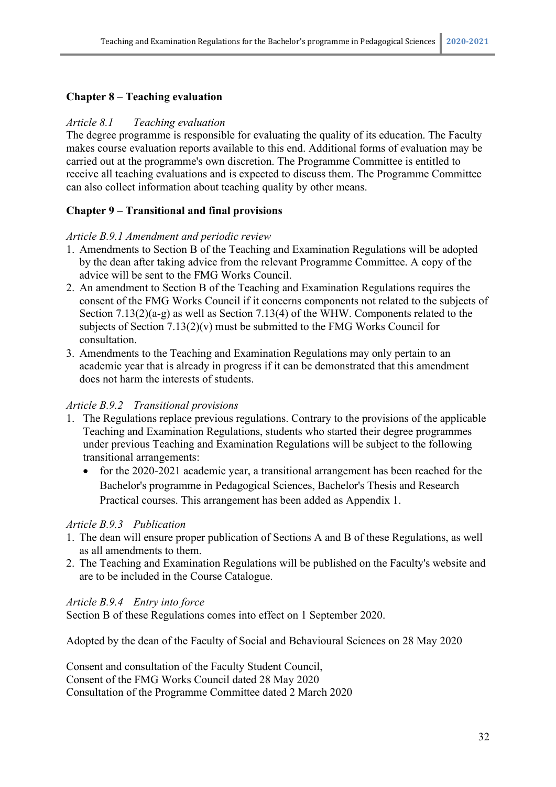#### **Chapter 8 – Teaching evaluation**

#### *Article 8.1 Teaching evaluation*

The degree programme is responsible for evaluating the quality of its education. The Faculty makes course evaluation reports available to this end. Additional forms of evaluation may be carried out at the programme's own discretion. The Programme Committee is entitled to receive all teaching evaluations and is expected to discuss them. The Programme Committee can also collect information about teaching quality by other means.

#### **Chapter 9 – Transitional and final provisions**

#### *Article B.9.1 Amendment and periodic review*

- 1. Amendments to Section B of the Teaching and Examination Regulations will be adopted by the dean after taking advice from the relevant Programme Committee. A copy of the advice will be sent to the FMG Works Council.
- 2. An amendment to Section B of the Teaching and Examination Regulations requires the consent of the FMG Works Council if it concerns components not related to the subjects of Section 7.13(2)(a-g) as well as Section 7.13(4) of the WHW. Components related to the subjects of Section  $7.13(2)(v)$  must be submitted to the FMG Works Council for consultation.
- 3. Amendments to the Teaching and Examination Regulations may only pertain to an academic year that is already in progress if it can be demonstrated that this amendment does not harm the interests of students.

#### *Article B.9.2 Transitional provisions*

- 1. The Regulations replace previous regulations. Contrary to the provisions of the applicable Teaching and Examination Regulations, students who started their degree programmes under previous Teaching and Examination Regulations will be subject to the following transitional arrangements:
	- for the 2020-2021 academic year, a transitional arrangement has been reached for the Bachelor's programme in Pedagogical Sciences, Bachelor's Thesis and Research Practical courses. This arrangement has been added as Appendix 1.

#### *Article B.9.3 Publication*

- 1. The dean will ensure proper publication of Sections A and B of these Regulations, as well as all amendments to them.
- 2. The Teaching and Examination Regulations will be published on the Faculty's website and are to be included in the Course Catalogue.

#### *Article B.9.4 Entry into force*

Section B of these Regulations comes into effect on 1 September 2020.

Adopted by the dean of the Faculty of Social and Behavioural Sciences on 28 May 2020

Consent and consultation of the Faculty Student Council, Consent of the FMG Works Council dated 28 May 2020 Consultation of the Programme Committee dated 2 March 2020